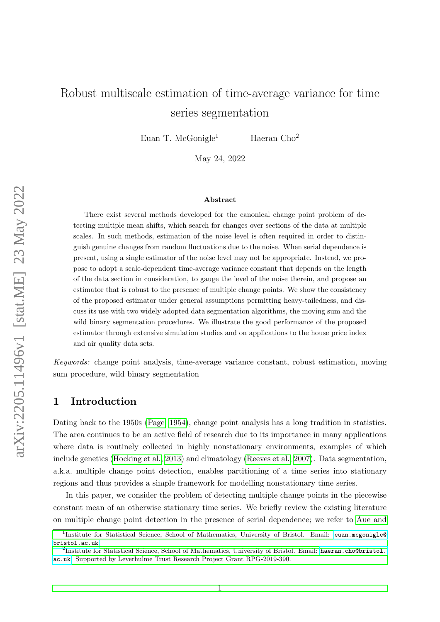# Robust multiscale estimation of time-average variance for time series segmentation

Euan T. McGonigle<sup>1</sup> Haeran Cho<sup>2</sup>

May 24, 2022

#### Abstract

There exist several methods developed for the canonical change point problem of detecting multiple mean shifts, which search for changes over sections of the data at multiple scales. In such methods, estimation of the noise level is often required in order to distinguish genuine changes from random fluctuations due to the noise. When serial dependence is present, using a single estimator of the noise level may not be appropriate. Instead, we propose to adopt a scale-dependent time-average variance constant that depends on the length of the data section in consideration, to gauge the level of the noise therein, and propose an estimator that is robust to the presence of multiple change points. We show the consistency of the proposed estimator under general assumptions permitting heavy-tailedness, and discuss its use with two widely adopted data segmentation algorithms, the moving sum and the wild binary segmentation procedures. We illustrate the good performance of the proposed estimator through extensive simulation studies and on applications to the house price index and air quality data sets.

Keywords: change point analysis, time-average variance constant, robust estimation, moving sum procedure, wild binary segmentation

## 1 Introduction

Dating back to the 1950s [\(Page, 1954\)](#page-21-0), change point analysis has a long tradition in statistics. The area continues to be an active field of research due to its importance in many applications where data is routinely collected in highly nonstationary environments, examples of which include genetics [\(Hocking et al., 2013\)](#page-20-0) and climatology [\(Reeves et al., 2007\)](#page-21-1). Data segmentation, a.k.a. multiple change point detection, enables partitioning of a time series into stationary regions and thus provides a simple framework for modelling nonstationary time series.

In this paper, we consider the problem of detecting multiple change points in the piecewise constant mean of an otherwise stationary time series. We briefly review the existing literature on multiple change point detection in the presence of serial dependence; we refer to [Aue and](#page-19-0)

<sup>&</sup>lt;sup>1</sup>[Institute for Statistical Science, School of Mathematics, University of Bristol. Email:](#page-19-0) [euan.mcgonigle@](euan.mcgonigle@bristol.ac.uk) [bristol.ac.uk](#page-19-0).

 ${}^{2}$ [Institute for Statistical Science, School of Mathematics, University of Bristol. Email:](#page-19-0) [haeran.cho@bristol.](haeran.cho@bristol.ac.uk) [ac.uk](haeran.cho@bristol.ac.uk)[. Supported by Leverhulme Trust Research Project Grant RPG-2019-390.](#page-19-0)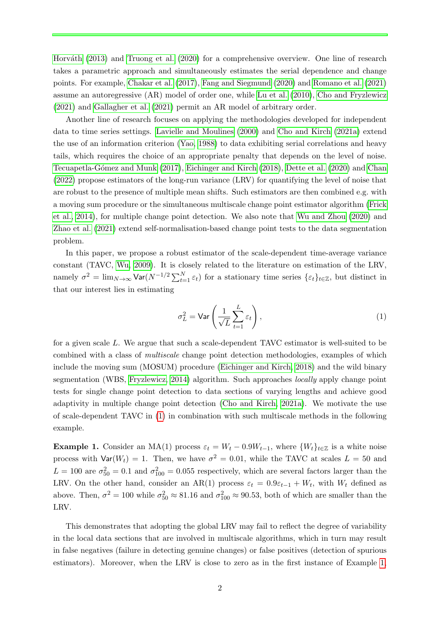Horváth [\(2013\)](#page-19-0) and [Truong et al.](#page-21-2) [\(2020\)](#page-21-2) for a comprehensive overview. One line of research takes a parametric approach and simultaneously estimates the serial dependence and change points. For example, [Chakar et al.](#page-19-1) [\(2017\)](#page-19-1), [Fang and Siegmund](#page-20-1) [\(2020\)](#page-20-1) and [Romano et al.](#page-21-3) [\(2021\)](#page-21-3) assume an autoregressive (AR) model of order one, while [Lu et al.](#page-21-4) [\(2010\)](#page-21-4), [Cho and Fryzlewicz](#page-20-2) [\(2021\)](#page-20-2) and [Gallagher et al.](#page-20-3) [\(2021\)](#page-20-3) permit an AR model of arbitrary order.

Another line of research focuses on applying the methodologies developed for independent data to time series settings. [Lavielle and Moulines](#page-21-5) [\(2000\)](#page-21-5) and [Cho and Kirch](#page-20-4) [\(2021a\)](#page-20-4) extend the use of an information criterion [\(Yao, 1988\)](#page-22-0) to data exhibiting serial correlations and heavy tails, which requires the choice of an appropriate penalty that depends on the level of noise. Tecuapetla-Gómez and Munk [\(2017\)](#page-21-6), [Eichinger and Kirch](#page-20-5) [\(2018\)](#page-20-5), [Dette et al.](#page-20-6) [\(2020\)](#page-20-6) and [Chan](#page-20-7) [\(2022\)](#page-20-7) propose estimators of the long-run variance (LRV) for quantifying the level of noise that are robust to the presence of multiple mean shifts. Such estimators are then combined e.g. with a moving sum procedure or the simultaneous multiscale change point estimator algorithm [\(Frick](#page-20-8) [et al., 2014\)](#page-20-8), for multiple change point detection. We also note that [Wu and Zhou](#page-22-1) [\(2020\)](#page-22-1) and [Zhao et al.](#page-22-2) [\(2021\)](#page-22-2) extend self-normalisation-based change point tests to the data segmentation problem.

In this paper, we propose a robust estimator of the scale-dependent time-average variance constant (TAVC, [Wu, 2009\)](#page-22-3). It is closely related to the literature on estimation of the LRV, namely  $\sigma^2 = \lim_{N \to \infty} \text{Var}(N^{-1/2} \sum_{t=1}^{N} \varepsilon_t)$  for a stationary time series  $\{\varepsilon_t\}_{t \in \mathbb{Z}}$ , but distinct in that our interest lies in estimating

<span id="page-1-0"></span>
$$
\sigma_L^2 = \text{Var}\left(\frac{1}{\sqrt{L}}\sum_{t=1}^L \varepsilon_t\right),\tag{1}
$$

for a given scale L. We argue that such a scale-dependent TAVC estimator is well-suited to be combined with a class of multiscale change point detection methodologies, examples of which include the moving sum (MOSUM) procedure [\(Eichinger and Kirch, 2018\)](#page-20-5) and the wild binary segmentation (WBS, [Fryzlewicz, 2014\)](#page-20-9) algorithm. Such approaches locally apply change point tests for single change point detection to data sections of varying lengths and achieve good adaptivity in multiple change point detection [\(Cho and Kirch, 2021a\)](#page-20-4). We motivate the use of scale-dependent TAVC in [\(1\)](#page-1-0) in combination with such multiscale methods in the following example.

<span id="page-1-1"></span>**Example 1.** Consider an MA(1) process  $\varepsilon_t = W_t - 0.9W_{t-1}$ , where  $\{W_t\}_{t \in \mathbb{Z}}$  is a white noise process with  $\text{Var}(W_t) = 1$ . Then, we have  $\sigma^2 = 0.01$ , while the TAVC at scales  $L = 50$  and  $L = 100$  are  $\sigma_{50}^2 = 0.1$  and  $\sigma_{100}^2 = 0.055$  respectively, which are several factors larger than the LRV. On the other hand, consider an AR(1) process  $\varepsilon_t = 0.9\varepsilon_{t-1} + W_t$ , with  $W_t$  defined as above. Then,  $\sigma^2 = 100$  while  $\sigma_{50}^2 \approx 81.16$  and  $\sigma_{100}^2 \approx 90.53$ , both of which are smaller than the LRV.

This demonstrates that adopting the global LRV may fail to reflect the degree of variability in the local data sections that are involved in multiscale algorithms, which in turn may result in false negatives (failure in detecting genuine changes) or false positives (detection of spurious estimators). Moreover, when the LRV is close to zero as in the first instance of Example [1,](#page-1-1)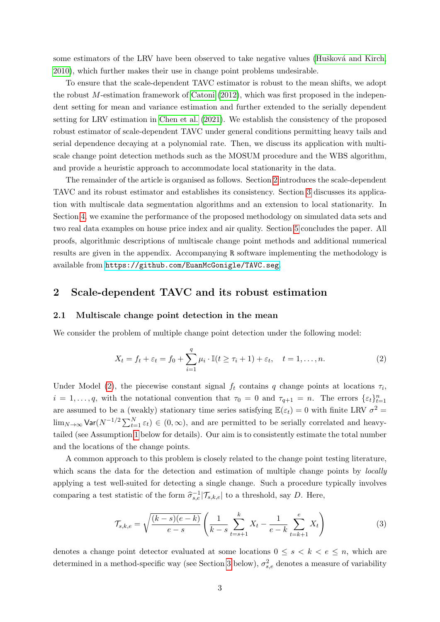some estimators of the LRV have been observed to take negative values (Hušková and Kirch, [2010\)](#page-20-10), which further makes their use in change point problems undesirable.

To ensure that the scale-dependent TAVC estimator is robust to the mean shifts, we adopt the robust M-estimation framework of [Catoni](#page-19-2) [\(2012\)](#page-19-2), which was first proposed in the independent setting for mean and variance estimation and further extended to the serially dependent setting for LRV estimation in [Chen et al.](#page-20-11) [\(2021\)](#page-20-11). We establish the consistency of the proposed robust estimator of scale-dependent TAVC under general conditions permitting heavy tails and serial dependence decaying at a polynomial rate. Then, we discuss its application with multiscale change point detection methods such as the MOSUM procedure and the WBS algorithm, and provide a heuristic approach to accommodate local stationarity in the data.

The remainder of the article is organised as follows. Section [2](#page-2-0) introduces the scale-dependent TAVC and its robust estimator and establishes its consistency. Section [3](#page-5-0) discusses its application with multiscale data segmentation algorithms and an extension to local stationarity. In Section [4,](#page-9-0) we examine the performance of the proposed methodology on simulated data sets and two real data examples on house price index and air quality. Section [5](#page-19-3) concludes the paper. All proofs, algorithmic descriptions of multiscale change point methods and additional numerical results are given in the appendix. Accompanying R software implementing the methodology is available from <https://github.com/EuanMcGonigle/TAVC.seg>.

## <span id="page-2-0"></span>2 Scale-dependent TAVC and its robust estimation

#### 2.1 Multiscale change point detection in the mean

We consider the problem of multiple change point detection under the following model:

<span id="page-2-1"></span>
$$
X_t = f_t + \varepsilon_t = f_0 + \sum_{i=1}^q \mu_i \cdot \mathbb{I}(t \ge \tau_i + 1) + \varepsilon_t, \quad t = 1, \dots, n. \tag{2}
$$

Under Model [\(2\)](#page-2-1), the piecewise constant signal  $f_t$  contains q change points at locations  $\tau_i$ ,  $i = 1, \ldots, q$ , with the notational convention that  $\tau_0 = 0$  and  $\tau_{q+1} = n$ . The errors  $\{\varepsilon_t\}_{t=1}^n$ are assumed to be a (weakly) stationary time series satisfying  $\mathbb{E}(\varepsilon_t) = 0$  with finite LRV  $\sigma^2 =$  $\lim_{N\to\infty}$  Var $(N^{-1/2}\sum_{t=1}^{N}\varepsilon_t) \in (0,\infty)$ , and are permitted to be serially correlated and heavytailed (see Assumption [1](#page-4-0) below for details). Our aim is to consistently estimate the total number and the locations of the change points.

A common approach to this problem is closely related to the change point testing literature, which scans the data for the detection and estimation of multiple change points by *locally* applying a test well-suited for detecting a single change. Such a procedure typically involves comparing a test statistic of the form  $\hat{\sigma}_{s,e}^{-1}|\mathcal{T}_{s,k,e}|$  to a threshold, say D. Here,

<span id="page-2-2"></span>
$$
\mathcal{T}_{s,k,e} = \sqrt{\frac{(k-s)(e-k)}{e-s}} \left( \frac{1}{k-s} \sum_{t=s+1}^{k} X_t - \frac{1}{e-k} \sum_{t=k+1}^{e} X_t \right) \tag{3}
$$

denotes a change point detector evaluated at some locations  $0 \leq s \leq k \leq e \leq n$ , which are determined in a method-specific way (see Section [3](#page-5-0) below),  $\sigma_{s,e}^2$  denotes a measure of variability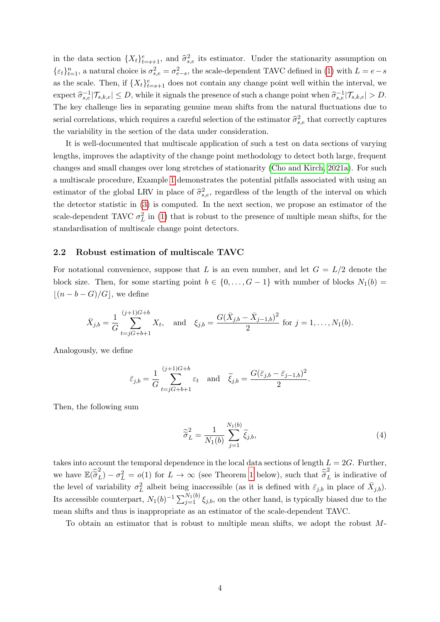in the data section  $\{X_t\}_{t=s+1}^e$ , and  $\hat{\sigma}_{s,e}^2$  its estimator. Under the stationarity assumption on  $\{\varepsilon_t\}_{t=1}^n$ , a natural choice is  $\sigma_{s,e}^2 = \sigma_{e-s}^2$ , the scale-dependent TAVC defined in [\(1\)](#page-1-0) with  $L = e - s$ as the scale. Then, if  $\{X_t\}_{t=s+1}^e$  does not contain any change point well within the interval, we  $\text{expect } \hat{\sigma}_{s,e}^{-1}|\mathcal{T}_{s,k,e}| \leq D, \text{ while it signals the presence of such a change point when } \hat{\sigma}_{s,e}^{-1}|\mathcal{T}_{s,k,e}| > D.$ The key challenge lies in separating genuine mean shifts from the natural fluctuations due to serial correlations, which requires a careful selection of the estimator  $\hat{\sigma}_{s,e}^2$  that correctly captures the variability in the section of the data under consideration.

It is well-documented that multiscale application of such a test on data sections of varying lengths, improves the adaptivity of the change point methodology to detect both large, frequent changes and small changes over long stretches of stationarity [\(Cho and Kirch, 2021a\)](#page-20-4). For such a multiscale procedure, Example [1](#page-1-1) demonstrates the potential pitfalls associated with using an estimator of the global LRV in place of  $\hat{\sigma}_{s,e}^2$ , regardless of the length of the interval on which the detector statistic in [\(3\)](#page-2-2) is computed. In the next section, we propose an estimator of the scale-dependent TAVC  $\sigma_L^2$  in [\(1\)](#page-1-0) that is robust to the presence of multiple mean shifts, for the standardisation of multiscale change point detectors.

#### <span id="page-3-0"></span>2.2 Robust estimation of multiscale TAVC

For notational convenience, suppose that L is an even number, and let  $G = L/2$  denote the block size. Then, for some starting point  $b \in \{0, ..., G-1\}$  with number of blocks  $N_1(b)$  =  $|(n - b - G)/G|$ , we define

$$
\bar{X}_{j,b} = \frac{1}{G} \sum_{t=jG+b+1}^{(j+1)G+b} X_t, \text{ and } \xi_{j,b} = \frac{G(\bar{X}_{j,b} - \bar{X}_{j-1,b})^2}{2} \text{ for } j = 1, \dots, N_1(b).
$$

Analogously, we define

$$
\bar{\varepsilon}_{j,b} = \frac{1}{G} \sum_{t=jG+b+1}^{(j+1)G+b} \varepsilon_t \quad \text{and} \quad \tilde{\xi}_{j,b} = \frac{G(\bar{\varepsilon}_{j,b} - \bar{\varepsilon}_{j-1,b})^2}{2}.
$$

Then, the following sum

$$
\widehat{\sigma}_L^2 = \frac{1}{N_1(b)} \sum_{j=1}^{N_1(b)} \widetilde{\xi}_{j,b},\tag{4}
$$

takes into account the temporal dependence in the local data sections of length  $L = 2G$ . Further, we have  $\mathbb{E}(\widehat{\sigma}_L^2) - \sigma_L^2 = o(1)$  for  $L \to \infty$  (see Theorem [1](#page-4-1) below), such that  $\widehat{\sigma}_L^2$  is indicative of the level of variability  $\sigma_L^2$  albeit being inaccessible (as it is defined with  $\bar{\varepsilon}_{j,b}$  in place of  $\bar{X}_{j,b}$ ). Its accessible counterpart,  $N_1(b)^{-1} \sum_{j=1}^{N_1(b)} \xi_{j,b}$ , on the other hand, is typically biased due to the mean shifts and thus is inappropriate as an estimator of the scale-dependent TAVC.

To obtain an estimator that is robust to multiple mean shifts, we adopt the robust M-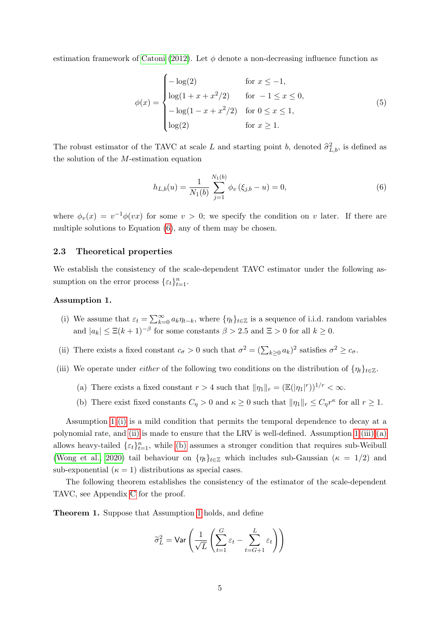estimation framework of [Catoni](#page-19-2) [\(2012\)](#page-19-2). Let  $\phi$  denote a non-decreasing influence function as

$$
\phi(x) = \begin{cases}\n-\log(2) & \text{for } x \le -1, \\
\log(1 + x + x^2/2) & \text{for } -1 \le x \le 0, \\
-\log(1 - x + x^2/2) & \text{for } 0 \le x \le 1, \\
\log(2) & \text{for } x \ge 1.\n\end{cases}
$$
\n(5)

The robust estimator of the TAVC at scale L and starting point b, denoted  $\hat{\sigma}_{L,b}^2$ , is defined as the solution of the M-estimation equation

<span id="page-4-8"></span><span id="page-4-2"></span>
$$
h_{L,b}(u) = \frac{1}{N_1(b)} \sum_{j=1}^{N_1(b)} \phi_v(\xi_{j,b} - u) = 0,
$$
\n(6)

where  $\phi_v(x) = v^{-1}\phi(vx)$  for some  $v > 0$ ; we specify the condition on v later. If there are multiple solutions to Equation [\(6\)](#page-4-2), any of them may be chosen.

#### 2.3 Theoretical properties

We establish the consistency of the scale-dependent TAVC estimator under the following assumption on the error process  $\{\varepsilon_t\}_{t=1}^n$ .

#### <span id="page-4-0"></span>Assumption 1.

- <span id="page-4-3"></span>(i) We assume that  $\varepsilon_t = \sum_{k=0}^{\infty} a_k \eta_{t-k}$ , where  $\{\eta_t\}_{t \in \mathbb{Z}}$  is a sequence of i.i.d. random variables and  $|a_k| \leq \Xi(k+1)^{-\beta}$  for some constants  $\beta > 2.5$  and  $\Xi > 0$  for all  $k \geq 0$ .
- <span id="page-4-4"></span>(ii) There exists a fixed constant  $c_{\sigma} > 0$  such that  $\sigma^2 = (\sum_{k \geq 0} a_k)^2$  satisfies  $\sigma^2 \geq c_{\sigma}$ .
- <span id="page-4-6"></span><span id="page-4-5"></span>(iii) We operate under *either* of the following two conditions on the distribution of  $\{\eta_t\}_{t\in\mathbb{Z}}$ .
	- (a) There exists a fixed constant  $r > 4$  such that  $\|\eta_1\|_r = (\mathbb{E}(|\eta_1|^r))^{1/r} < \infty$ .
	- (b) There exist fixed constants  $C_{\eta} > 0$  and  $\kappa \geq 0$  such that  $\|\eta_1\|_r \leq C_{\eta} r^{\kappa}$  for all  $r \geq 1$ .

<span id="page-4-7"></span>Assumption [1](#page-4-0) [\(i\)](#page-4-3) is a mild condition that permits the temporal dependence to decay at a polynomial rate, and [\(ii\)](#page-4-4) is made to ensure that the LRV is well-defined. Assumption [1](#page-4-0) [\(iii\)](#page-4-5) [\(a\)](#page-4-6) allows heavy-tailed  $\{\varepsilon_t\}_{t=1}^n$ , while [\(b\)](#page-4-7) assumes a stronger condition that requires sub-Weibull [\(Wong et al., 2020\)](#page-22-4) tail behaviour on  $\{\eta_t\}_{t\in\mathbb{Z}}$  which includes sub-Gaussian ( $\kappa = 1/2$ ) and sub-exponential  $(\kappa = 1)$  distributions as special cases.

The following theorem establishes the consistency of the estimator of the scale-dependent TAVC, see Appendix [C](#page-29-0) for the proof.

<span id="page-4-1"></span>Theorem 1. Suppose that Assumption [1](#page-4-0) holds, and define

$$
\widetilde{\sigma}_L^2 = \text{Var}\left(\frac{1}{\sqrt{L}}\left(\sum_{t=1}^G \varepsilon_t - \sum_{t=G+1}^L \varepsilon_t\right)\right)
$$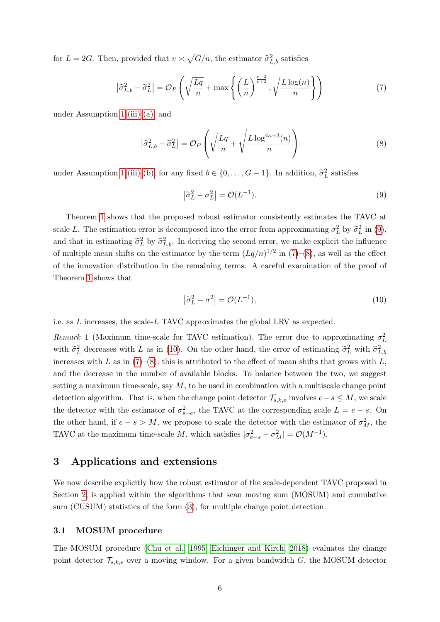for  $L = 2G$ . Then, provided that  $v \approx \sqrt{G/n}$ , the estimator  $\hat{\sigma}_{L,b}^2$  satisfies

$$
\left|\widehat{\sigma}_{L,b}^2 - \widetilde{\sigma}_L^2\right| = \mathcal{O}_P\left(\sqrt{\frac{Lq}{n}} + \max\left\{\left(\frac{L}{n}\right)^{\frac{r-2}{r+2}}, \sqrt{\frac{L\log(n)}{n}}\right\}\right) \tag{7}
$$

under Assumption [1](#page-4-0) [\(iii\)](#page-4-5) [\(a\),](#page-4-6) and

$$
\left|\widehat{\sigma}_{L,b}^2 - \widetilde{\sigma}_L^2\right| = \mathcal{O}_P\left(\sqrt{\frac{Lq}{n}} + \sqrt{\frac{L\log^{4\kappa+3}(n)}{n}}\right) \tag{8}
$$

under Assumption [1](#page-4-0) [\(iii\)](#page-4-5) [\(b\),](#page-4-7) for any fixed  $b \in \{0, ..., G-1\}$ . In addition,  $\tilde{\sigma}_L^2$  satisfies

<span id="page-5-3"></span><span id="page-5-2"></span><span id="page-5-1"></span>
$$
\left|\tilde{\sigma}_L^2 - \sigma_L^2\right| = \mathcal{O}(L^{-1}).\tag{9}
$$

Theorem [1](#page-4-1) shows that the proposed robust estimator consistently estimates the TAVC at scale L. The estimation error is decomposed into the error from approximating  $\sigma_L^2$  by  $\tilde{\sigma}_L^2$  in [\(9\)](#page-5-1), and that in estimating  $\tilde{\sigma}_L^2$  by  $\hat{\sigma}_{L,b}^2$ . In deriving the second error, we make explicit the influence of multiple mean shifts on the estimator by the term  $(Lq/n)^{1/2}$  in  $(7)-(8)$  $(7)-(8)$  $(7)-(8)$ , as well as the effect of the innovation distribution in the remaining terms. A careful examination of the proof of Theorem [1](#page-4-1) shows that

<span id="page-5-4"></span>
$$
\left|\tilde{\sigma}_L^2 - \sigma^2\right| = \mathcal{O}(L^{-1}),\tag{10}
$$

i.e. as L increases, the scale-L TAVC approximates the global LRV as expected.

<span id="page-5-5"></span>Remark 1 (Maximum time-scale for TAVC estimation). The error due to approximating  $\sigma_L^2$ with  $\tilde{\sigma}_L^2$  decreases with L as in [\(10\)](#page-5-4). On the other hand, the error of estimating  $\tilde{\sigma}_L^2$  with  $\hat{\sigma}_{L,k}^2$ increases with L as in  $(7)-(8)$  $(7)-(8)$  $(7)-(8)$ ; this is attributed to the effect of mean shifts that grows with L, and the decrease in the number of available blocks. To balance between the two, we suggest setting a maximum time-scale, say  $M$ , to be used in combination with a multiscale change point detection algorithm. That is, when the change point detector  $\mathcal{T}_{s,k,e}$  involves  $e-s \leq M$ , we scale the detector with the estimator of  $\sigma_{s-e}^2$ , the TAVC at the corresponding scale  $L = e - s$ . On the other hand, if  $e - s > M$ , we propose to scale the detector with the estimator of  $\sigma_M^2$ , the TAVC at the maximum time-scale M, which satisfies  $|\sigma_{e-s}^2 - \sigma_M^2| = \mathcal{O}(M^{-1}).$ 

# <span id="page-5-0"></span>3 Applications and extensions

We now describe explicitly how the robust estimator of the scale-dependent TAVC proposed in Section [2,](#page-2-0) is applied within the algorithms that scan moving sum (MOSUM) and cumulative sum (CUSUM) statistics of the form [\(3\)](#page-2-2), for multiple change point detection.

### <span id="page-5-6"></span>3.1 MOSUM procedure

The MOSUM procedure [\(Chu et al., 1995;](#page-20-12) [Eichinger and Kirch, 2018\)](#page-20-5) evaluates the change point detector  $\mathcal{T}_{s,k,e}$  over a moving window. For a given bandwidth G, the MOSUM detector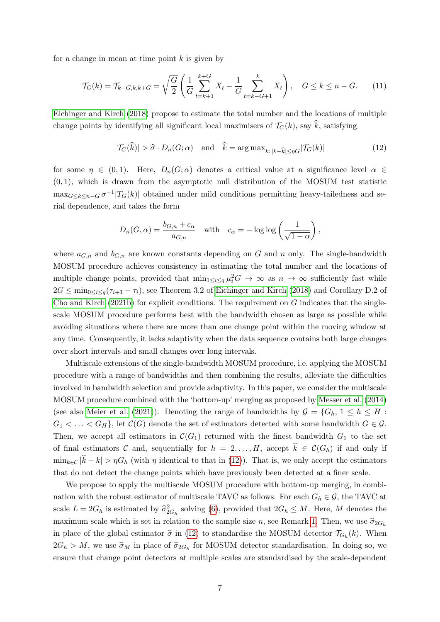for a change in mean at time point  $k$  is given by

$$
\mathcal{T}_G(k) = \mathcal{T}_{k-G,k,k+G} = \sqrt{\frac{G}{2}} \left( \frac{1}{G} \sum_{t=k+1}^{k+G} X_t - \frac{1}{G} \sum_{t=k-G+1}^k X_t \right), \quad G \le k \le n - G. \tag{11}
$$

[Eichinger and Kirch](#page-20-5) [\(2018\)](#page-20-5) propose to estimate the total number and the locations of multiple change points by identifying all significant local maximisers of  $\mathcal{T}_G(k)$ , say  $\hat{k}$ , satisfying

<span id="page-6-1"></span><span id="page-6-0"></span>
$$
|\mathcal{T}_G(\widehat{k})| > \widehat{\sigma} \cdot D_n(G; \alpha) \quad \text{and} \quad \widehat{k} = \arg \max_{k: \, |k - \widehat{k}| \le \eta G} |\mathcal{T}_G(k)| \tag{12}
$$

for some  $\eta \in (0,1)$ . Here,  $D_n(G; \alpha)$  denotes a critical value at a significance level  $\alpha \in$  $(0, 1)$ , which is drawn from the asymptotic null distribution of the MOSUM test statistic  $\max_{G \leq k \leq n-G} \sigma^{-1} |T_G(k)|$  obtained under mild conditions permitting heavy-tailedness and serial dependence, and takes the form

$$
D_n(G, \alpha) = \frac{b_{G,n} + c_{\alpha}}{a_{G,n}} \quad \text{with} \quad c_{\alpha} = -\log \log \left( \frac{1}{\sqrt{1 - \alpha}} \right),
$$

where  $a_{G,n}$  and  $b_{G,n}$  are known constants depending on G and n only. The single-bandwidth MOSUM procedure achieves consistency in estimating the total number and the locations of multiple change points, provided that  $\min_{1 \leq i \leq q} \mu_i^2 G \to \infty$  as  $n \to \infty$  sufficiently fast while  $2G \le \min_{0 \le i \le q} (\tau_{i+1} - \tau_i)$ , see Theorem 3.2 of [Eichinger and Kirch](#page-20-5) [\(2018\)](#page-20-5) and Corollary D.2 of [Cho and Kirch](#page-20-13) [\(2021b\)](#page-20-13) for explicit conditions. The requirement on  $G$  indicates that the singlescale MOSUM procedure performs best with the bandwidth chosen as large as possible while avoiding situations where there are more than one change point within the moving window at any time. Consequently, it lacks adaptivity when the data sequence contains both large changes over short intervals and small changes over long intervals.

Multiscale extensions of the single-bandwidth MOSUM procedure, i.e. applying the MOSUM procedure with a range of bandwidths and then combining the results, alleviate the difficulties involved in bandwidth selection and provide adaptivity. In this paper, we consider the multiscale MOSUM procedure combined with the 'bottom-up' merging as proposed by [Messer et al.](#page-21-7) [\(2014\)](#page-21-7) (see also [Meier et al.](#page-21-8) [\(2021\)](#page-21-8)). Denoting the range of bandwidths by  $\mathcal{G} = \{G_h, 1 \leq h \leq H$ :  $G_1 < \ldots < G_H$ , let  $\mathcal{C}(G)$  denote the set of estimators detected with some bandwidth  $G \in \mathcal{G}$ . Then, we accept all estimators in  $\mathcal{C}(G_1)$  returned with the finest bandwidth  $G_1$  to the set of final estimators C and, sequentially for  $h = 2, ..., H$ , accept  $\hat{k} \in C(G_h)$  if and only if  $\min_{k \in \mathcal{C}} |\hat{k} - k| > \eta G_h$  (with  $\eta$  identical to that in [\(12\)](#page-6-0)). That is, we only accept the estimators that do not detect the change points which have previously been detected at a finer scale.

We propose to apply the multiscale MOSUM procedure with bottom-up merging, in combination with the robust estimator of multiscale TAVC as follows. For each  $G_h \in \mathcal{G}$ , the TAVC at scale  $L = 2G_h$  is estimated by  $\hat{\sigma}_{2G_h}^2$  solving [\(6\)](#page-4-2), provided that  $2G_h \leq M$ . Here, M denotes the maximum scale which is set in relation to the sample size n, see Remark [1.](#page-5-5) Then, we use  $\hat{\sigma}_{2G_h}$ in place of the global estimator  $\hat{\sigma}$  in [\(12\)](#page-6-0) to standardise the MOSUM detector  $\mathcal{T}_{G_h}(k)$ . When  $2G_h > M$ , we use  $\hat{\sigma}_M$  in place of  $\hat{\sigma}_{2G_h}$  for MOSUM detector standardisation. In doing so, we ensure that change point detectors at multiple scales are standardised by the scale-dependent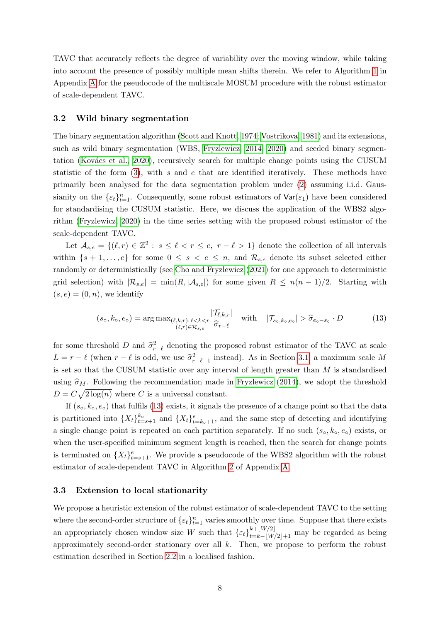TAVC that accurately reflects the degree of variability over the moving window, while taking into account the presence of possibly multiple mean shifts therein. We refer to Algorithm [1](#page-23-0) in Appendix [A](#page-23-1) for the pseudocode of the multiscale MOSUM procedure with the robust estimator of scale-dependent TAVC.

#### <span id="page-7-1"></span>3.2 Wild binary segmentation

The binary segmentation algorithm [\(Scott and Knott, 1974;](#page-21-9) [Vostrikova, 1981\)](#page-22-5) and its extensions, such as wild binary segmentation (WBS, [Fryzlewicz, 2014;](#page-20-9) [2020\)](#page-20-14) and seeded binary segmentation (Kovács et al., 2020), recursively search for multiple change points using the CUSUM statistic of the form  $(3)$ , with s and e that are identified iteratively. These methods have primarily been analysed for the data segmentation problem under [\(2\)](#page-2-1) assuming i.i.d. Gaussianity on the  $\{\varepsilon_t\}_{t=1}^n$ . Consequently, some robust estimators of  $\text{Var}(\varepsilon_1)$  have been considered for standardising the CUSUM statistic. Here, we discuss the application of the WBS2 algorithm [\(Fryzlewicz, 2020\)](#page-20-14) in the time series setting with the proposed robust estimator of the scale-dependent TAVC.

Let  $\mathcal{A}_{s,e} = \{(\ell, r) \in \mathbb{Z}^2 : s \leq \ell < r \leq e, r - \ell > 1\}$  denote the collection of all intervals within  $\{s + 1, \ldots, e\}$  for some  $0 \leq s \leq e \leq n$ , and  $\mathcal{R}_{s,e}$  denote its subset selected either randomly or deterministically (see [Cho and Fryzlewicz](#page-20-2) [\(2021\)](#page-20-2) for one approach to deterministic grid selection) with  $|\mathcal{R}_{s,e}| = \min(R, |\mathcal{A}_{s,e}|)$  for some given  $R \leq n(n-1)/2$ . Starting with  $(s, e) = (0, n)$ , we identify

<span id="page-7-0"></span>
$$
(s_o, k_o, e_o) = \arg \max_{\substack{(\ell, k, r) : \ell < k < r \\ (\ell, r) \in \mathcal{R}_{s,e}}} \frac{|\mathcal{T}_{\ell, k, r}|}{\widehat{\sigma}_{r-\ell}} \quad \text{with} \quad |\mathcal{T}_{s_o, k_o, e_o}| > \widehat{\sigma}_{e_o - s_o} \cdot D \tag{13}
$$

for some threshold D and  $\hat{\sigma}_{r-\ell}^2$  denoting the proposed robust estimator of the TAVC at scale  $L = r - \ell$  (when  $r - \ell$  is odd, we use  $\hat{\sigma}_{r-\ell-1}^2$  instead). As in Section [3.1,](#page-5-6) a maximum scale M is set so that the CUSUM statistic over any interval of length greater than  $M$  is standardised using  $\hat{\sigma}_M$ . Following the recommendation made in [Fryzlewicz](#page-20-9) [\(2014\)](#page-20-9), we adopt the threshold  $D = C\sqrt{2\log(n)}$  where C is a universal constant.

If  $(s_0, k_0, e_0)$  that fulfils [\(13\)](#page-7-0) exists, it signals the presence of a change point so that the data is partitioned into  $\{X_t\}_{t=s+1}^{k_{\circ}}$  and  $\{X_t\}_{t=k_{\circ}+1}^e$ , and the same step of detecting and identifying a single change point is repeated on each partition separately. If no such  $(s_0, k_0, e_0)$  exists, or when the user-specified minimum segment length is reached, then the search for change points is terminated on  $\{X_t\}_{t=s+1}^e$ . We provide a pseudocode of the WBS2 algorithm with the robust estimator of scale-dependent TAVC in Algorithm [2](#page-24-0) of Appendix [A.](#page-23-1)

#### <span id="page-7-2"></span>3.3 Extension to local stationarity

We propose a heuristic extension of the robust estimator of scale-dependent TAVC to the setting where the second-order structure of  $\{\varepsilon_t\}_{t=1}^n$  varies smoothly over time. Suppose that there exists an appropriately chosen window size W such that  $\{\varepsilon_t\}_{t=k-|W/2|+1}^{k+|W/2|}$  may be regarded as being approximately second-order stationary over all k. Then, we propose to perform the robust estimation described in Section [2.2](#page-3-0) in a localised fashion.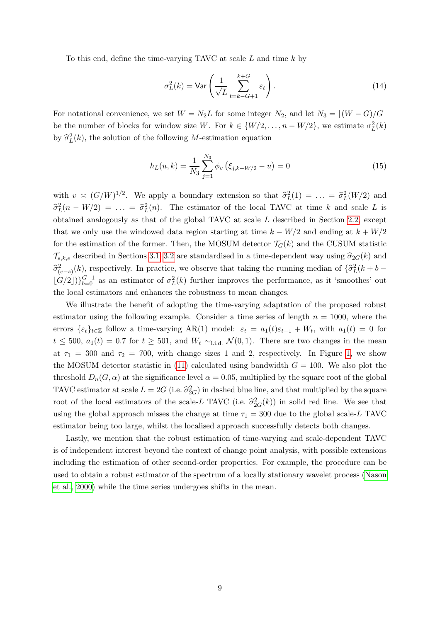To this end, define the time-varying TAVC at scale L and time k by

$$
\sigma_L^2(k) = \text{Var}\left(\frac{1}{\sqrt{L}} \sum_{t=k-G+1}^{k+G} \varepsilon_t\right). \tag{14}
$$

For notational convenience, we set  $W = N_2L$  for some integer  $N_2$ , and let  $N_3 = \lfloor (W - G)/G \rfloor$ be the number of blocks for window size W. For  $k \in \{W/2, \ldots, n - W/2\}$ , we estimate  $\sigma_L^2(k)$ by  $\hat{\sigma}_L^2(k)$ , the solution of the following M-estimation equation

$$
h_L(u,k) = \frac{1}{N_3} \sum_{j=1}^{N_3} \phi_v \left( \xi_{j,k-W/2} - u \right) = 0 \tag{15}
$$

with  $v \approx (G/W)^{1/2}$ . We apply a boundary extension so that  $\hat{\sigma}_L^2(1) = \ldots = \hat{\sigma}_L^2(W/2)$  and  $\hat{\sigma}_L^2(n - W/2) = \ldots = \hat{\sigma}_L^2(n)$ . The estimator of the local TAVC at time k and scale L is obtained analogously as that of the global TAVC at scale L described in Section [2.2,](#page-3-0) except that we only use the windowed data region starting at time  $k - W/2$  and ending at  $k + W/2$ for the estimation of the former. Then, the MOSUM detector  $\mathcal{T}_G(k)$  and the CUSUM statistic  $\mathcal{T}_{s,k,e}$  described in Sections [3.1–](#page-5-6)[3.2](#page-7-1) are standardised in a time-dependent way using  $\hat{\sigma}_{2G}(k)$  and  $\hat{\sigma}^2_{(e-s)}(k)$ , respectively. In practice, we observe that taking the running median of  $\{\hat{\sigma}^2_L(k + b - \hat{\sigma}^2_L(k + b - \hat{\sigma}^2_L(k + b - \hat{\sigma}^2_L(k + b - \hat{\sigma}^2_L(k + b - \hat{\sigma}^2_L(k + b - \hat{\sigma}^2_L(k + b - \hat{\sigma}^2_L(k + b - \hat{\sigma}^2_L(k + b - \hat{\sigma}^2_L(k + b - \hat{\sigma}^2_L$  $\lfloor G/2 \rfloor$ ) $\}^{G-1}_{b=0}$  as an estimator of  $\sigma^2_L(k)$  further improves the performance, as it 'smoothes' out the local estimators and enhances the robustness to mean changes.

We illustrate the benefit of adopting the time-varying adaptation of the proposed robust estimator using the following example. Consider a time series of length  $n = 1000$ , where the errors  $\{\varepsilon_t\}_{t\in\mathbb{Z}}$  follow a time-varying AR(1) model:  $\varepsilon_t = a_1(t)\varepsilon_{t-1} + W_t$ , with  $a_1(t) = 0$  for  $t \le 500$ ,  $a_1(t) = 0.7$  for  $t \ge 501$ , and  $W_t \sim$ <sub>i.i.d.</sub>  $\mathcal{N}(0,1)$ . There are two changes in the mean at  $\tau_1 = 300$  and  $\tau_2 = 700$ , with change sizes 1 and 2, respectively. In Figure [1,](#page-9-1) we show the MOSUM detector statistic in [\(11\)](#page-6-1) calculated using bandwidth  $G = 100$ . We also plot the threshold  $D_n(G, \alpha)$  at the significance level  $\alpha = 0.05$ , multiplied by the square root of the global TAVC estimator at scale  $L = 2G$  (i.e.  $\hat{\sigma}_{2G}^2$ ) in dashed blue line, and that multiplied by the square root of the local estimators of the scale-L TAVC (i.e.  $\hat{\sigma}_{2G}^2(k)$ ) in solid red line. We see that using the global approach misses the change at time  $\tau_1 = 300$  due to the global scale-L TAVC estimator being too large, whilst the localised approach successfully detects both changes.

Lastly, we mention that the robust estimation of time-varying and scale-dependent TAVC is of independent interest beyond the context of change point analysis, with possible extensions including the estimation of other second-order properties. For example, the procedure can be used to obtain a robust estimator of the spectrum of a locally stationary wavelet process [\(Nason](#page-21-11) [et al., 2000\)](#page-21-11) while the time series undergoes shifts in the mean.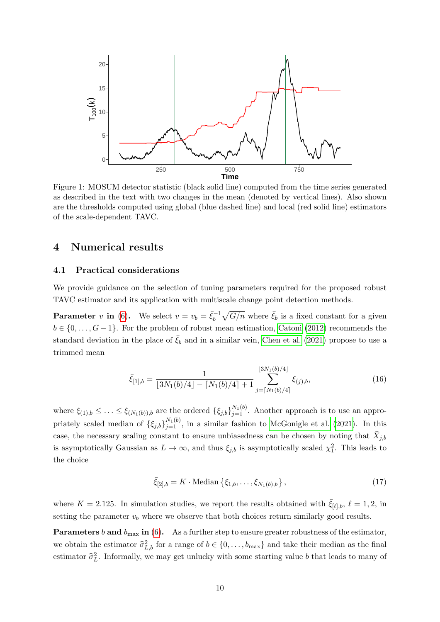<span id="page-9-1"></span>

Figure 1: MOSUM detector statistic (black solid line) computed from the time series generated as described in the text with two changes in the mean (denoted by vertical lines). Also shown are the thresholds computed using global (blue dashed line) and local (red solid line) estimators of the scale-dependent TAVC.

# <span id="page-9-0"></span>4 Numerical results

#### <span id="page-9-4"></span>4.1 Practical considerations

We provide guidance on the selection of tuning parameters required for the proposed robust TAVC estimator and its application with multiscale change point detection methods.

**Parameter** v in [\(6\)](#page-4-2). We select  $v = v_b = \bar{\xi}_b^{-1}$  $\bar{\xi}_b^{-1}\sqrt{G/n}$  where  $\bar{\xi}_b$  is a fixed constant for a given  $b \in \{0, \ldots, G-1\}$ . For the problem of robust mean estimation, [Catoni](#page-19-2) [\(2012\)](#page-19-2) recommends the standard deviation in the place of  $\bar{\xi}_b$  and in a similar vein, [Chen et al.](#page-20-11) [\(2021\)](#page-20-11) propose to use a trimmed mean

<span id="page-9-2"></span>
$$
\bar{\xi}_{[1],b} = \frac{1}{\lfloor 3N_1(b)/4 \rfloor - \lceil N_1(b)/4 \rceil + 1} \sum_{j=\lceil N_1(b)/4 \rceil}^{\lfloor 3N_1(b)/4 \rfloor} \xi_{(j),b},\tag{16}
$$

where  $\xi_{(1),b} \leq \ldots \leq \xi_{(N_1(b)),b}$  are the ordered  $\{\xi_{j,b}\}_{j=1}^{N_1(b)}$ . Another approach is to use an appropriately scaled median of  $\{\xi_{j,b}\}_{j=1}^{N_1(b)}$ , in a similar fashion to [McGonigle et al.](#page-21-12) [\(2021\)](#page-21-12). In this case, the necessary scaling constant to ensure unbiasedness can be chosen by noting that  $\bar{X}_{j,b}$ is asymptotically Gaussian as  $L \to \infty$ , and thus  $\xi_{j,b}$  is asymptotically scaled  $\chi_1^2$ . This leads to the choice

<span id="page-9-3"></span>
$$
\bar{\xi}_{[2],b} = K \cdot \text{Median} \left\{ \xi_{1,b}, \dots, \xi_{N_1(b),b} \right\},\tag{17}
$$

where  $K = 2.125$ . In simulation studies, we report the results obtained with  $\bar{\xi}_{[\ell],b}$ ,  $\ell = 1, 2$ , in setting the parameter  $v<sub>b</sub>$  where we observe that both choices return similarly good results.

**Parameters** b and  $b_{\text{max}}$  in [\(6\)](#page-4-2). As a further step to ensure greater robustness of the estimator, we obtain the estimator  $\hat{\sigma}_{L,b}^2$  for a range of  $b \in \{0, \ldots, b_{\text{max}}\}$  and take their median as the final estimator  $\hat{\sigma}_L^2$ . Informally, we may get unlucky with some starting value b that leads to many of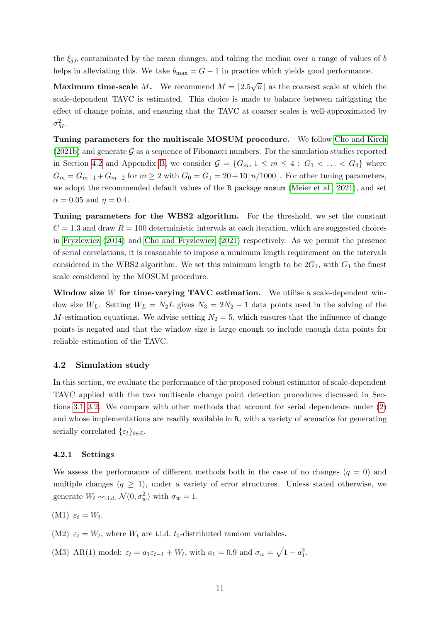the  $\xi_{j,b}$  contaminated by the mean changes, and taking the median over a range of values of b helps in alleviating this. We take  $b_{\text{max}} = G - 1$  in practice which yields good performance.

**Maximum time-scale** M. We recommend  $M = |2.5\sqrt{n}|$  as the coarsest scale at which the scale-dependent TAVC is estimated. This choice is made to balance between mitigating the effect of change points, and ensuring that the TAVC at coarser scales is well-approximated by  $\sigma_M^2$ .

Tuning parameters for the multiscale MOSUM procedure. We follow [Cho and Kirch](#page-20-13)  $(2021b)$  and generate G as a sequence of Fibonacci numbers. For the simulation studies reported in Section [4.2](#page-10-0) and Appendix [B,](#page-23-2) we consider  $\mathcal{G} = \{G_m, 1 \leq m \leq 4 : G_1 < \ldots < G_4\}$  where  $G_m = G_{m-1} + G_{m-2}$  for  $m \geq 2$  with  $G_0 = G_1 = 20 + 10\lfloor n/1000 \rfloor$ . For other tuning parameters, we adopt the recommended default values of the R package mosum [\(Meier et al., 2021\)](#page-21-8), and set  $\alpha = 0.05$  and  $\eta = 0.4$ .

Tuning parameters for the WBS2 algorithm. For the threshold, we set the constant  $C = 1.3$  and draw  $R = 100$  deterministic intervals at each iteration, which are suggested choices in [Fryzlewicz](#page-20-9) [\(2014\)](#page-20-9) and [Cho and Fryzlewicz](#page-20-2) [\(2021\)](#page-20-2) respectively. As we permit the presence of serial correlations, it is reasonable to impose a minimum length requirement on the intervals considered in the WBS2 algorithm. We set this minimum length to be  $2G_1$ , with  $G_1$  the finest scale considered by the MOSUM procedure.

Window size  $W$  for time-varying TAVC estimation. We utilise a scale-dependent window size  $W_L$ . Setting  $W_L = N_2 L$  gives  $N_3 = 2N_2 - 1$  data points used in the solving of the M-estimation equations. We advise setting  $N_2 = 5$ , which ensures that the influence of change points is negated and that the window size is large enough to include enough data points for reliable estimation of the TAVC.

#### <span id="page-10-0"></span>4.2 Simulation study

In this section, we evaluate the performance of the proposed robust estimator of scale-dependent TAVC applied with the two multiscale change point detection procedures discussed in Sections [3.1](#page-5-6)[–3.2.](#page-7-1) We compare with other methods that account for serial dependence under [\(2\)](#page-2-1) and whose implementations are readily available in R, with a variety of scenarios for generating serially correlated  $\{\varepsilon_t\}_{t\in\mathbb{Z}}$ .

#### 4.2.1 Settings

We assess the performance of different methods both in the case of no changes  $(q = 0)$  and multiple changes  $(q \geq 1)$ , under a variety of error structures. Unless stated otherwise, we generate  $W_t \sim$ <sub>i.i.d.</sub>  $\mathcal{N}(0, \sigma_w^2)$  with  $\sigma_w = 1$ .

<span id="page-10-1"></span>
$$
(M1) \varepsilon_t = W_t.
$$

<span id="page-10-2"></span>(M2)  $\varepsilon_t = W_t$ , where  $W_t$  are i.i.d. t<sub>5</sub>-distributed random variables.

<span id="page-10-3"></span>(M3) AR(1) model:  $\varepsilon_t = a_1 \varepsilon_{t-1} + W_t$ , with  $a_1 = 0.9$  and  $\sigma_w = \sqrt{1 - a_1^2}$ .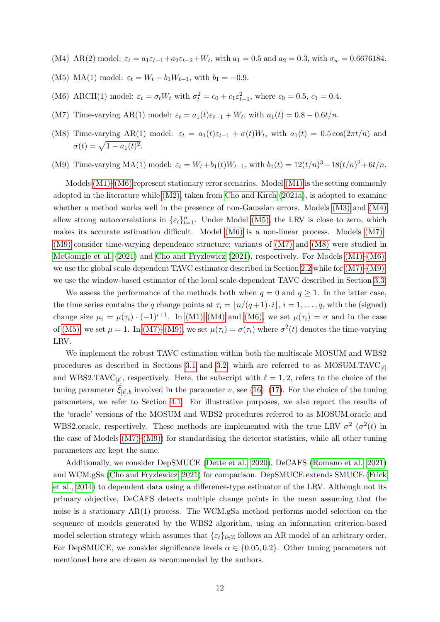- <span id="page-11-1"></span>(M4) AR(2) model:  $\varepsilon_t = a_1 \varepsilon_{t-1} + a_2 \varepsilon_{t-2} + W_t$ , with  $a_1 = 0.5$  and  $a_2 = 0.3$ , with  $\sigma_w = 0.6676184$ .
- <span id="page-11-2"></span>(M5) MA(1) model:  $\varepsilon_t = W_t + b_1 W_{t-1}$ , with  $b_1 = -0.9$ .
- <span id="page-11-0"></span>(M6) ARCH(1) model:  $\varepsilon_t = \sigma_t W_t$  with  $\sigma_t^2 = c_0 + c_1 \varepsilon_{t-1}^2$ , where  $c_0 = 0.5$ ,  $c_1 = 0.4$ .
- <span id="page-11-3"></span>(M7) Time-varying AR(1) model:  $\varepsilon_t = a_1(t)\varepsilon_{t-1} + W_t$ , with  $a_1(t) = 0.8 - 0.6t/n$ .
- <span id="page-11-5"></span>(M8) Time-varying AR(1) model:  $\varepsilon_t = a_1(t)\varepsilon_{t-1} + \sigma(t)W_t$ , with  $a_1(t) = 0.5 \cos(2\pi t/n)$  and  $\sigma(t) = \sqrt{1 - a_1(t)^2}.$
- <span id="page-11-4"></span>(M9) Time-varying MA(1) model:  $\varepsilon_t = W_t + b_1(t)W_{t-1}$ , with  $b_1(t) = 12(t/n)^3 - 18(t/n)^2 + 6t/n$ .

Models [\(M1\)](#page-10-1)[–\(M6\)](#page-11-0) represent stationary error scenarios. Model [\(M1\)](#page-10-1) is the setting commonly adopted in the literature while [\(M2\),](#page-10-2) taken from [Cho and Kirch](#page-20-4) [\(2021a\)](#page-20-4), is adopted to examine whether a method works well in the presence of non-Gaussian errors. Models [\(M3\)](#page-10-3) and [\(M4\)](#page-11-1) allow strong autocorrelations in  $\{\varepsilon_t\}_{t=1}^n$ . Under Model [\(M5\),](#page-11-2) the LRV is close to zero, which makes its accurate estimation difficult. Model [\(M6\)](#page-11-0) is a non-linear process. Models [\(M7\)–](#page-11-3) [\(M9\)](#page-11-4) consider time-varying dependence structure; variants of [\(M7\)](#page-11-3) and [\(M8\)](#page-11-5) were studied in [McGonigle et al.](#page-21-12) [\(2021\)](#page-21-12) and [Cho and Fryzlewicz](#page-20-2) [\(2021\)](#page-20-2), respectively. For Models [\(M1\)–](#page-10-1)[\(M6\),](#page-11-0) we use the global scale-dependent TAVC estimator described in Section [2.2](#page-3-0) while for [\(M7\)–](#page-11-3)[\(M9\),](#page-11-4) we use the window-based estimator of the local scale-dependent TAVC described in Section [3.3.](#page-7-2)

We assess the performance of the methods both when  $q = 0$  and  $q \ge 1$ . In the latter case, the time series contains the q change points at  $\tau_i = \frac{n}{(q+1)} \cdot i$ ,  $i = 1, \ldots, q$ , with the (signed) change size  $\mu_i = \mu(\tau_i) \cdot (-1)^{i+1}$ . In [\(M1\)](#page-10-1)[–\(M4\)](#page-11-1) and [\(M6\),](#page-11-0) we set  $\mu(\tau_i) = \sigma$  and in the case of [\(M5\),](#page-11-2) we set  $\mu = 1$ . In [\(M7\)](#page-11-3)[–\(M9\),](#page-11-4) we set  $\mu(\tau_i) = \sigma(\tau_i)$  where  $\sigma^2(t)$  denotes the time-varying LRV.

We implement the robust TAVC estimation within both the multiscale MOSUM and WBS2 procedures as described in Sections [3.1](#page-5-6) and [3.2,](#page-7-1) which are referred to as MOSUM.TAVC $_{[\ell]}$ and WBS2.TAVC<sub>[ $\ell$ ]</sub>, respectively. Here, the subscript with  $\ell = 1, 2$ , refers to the choice of the tuning parameter  $\xi_{[\ell],b}$  involved in the parameter v, see [\(16\)](#page-9-2)–[\(17\)](#page-9-3). For the choice of the tuning parameters, we refer to Section [4.1.](#page-9-4) For illustrative purposes, we also report the results of the 'oracle' versions of the MOSUM and WBS2 procedures referred to as MOSUM.oracle and WBS2.oracle, respectively. These methods are implemented with the true LRV  $\sigma^2$  ( $\sigma^2(t)$ ) in the case of Models  $(M7)–(M9)$  for standardising the detector statistics, while all other tuning parameters are kept the same.

Additionally, we consider DepSMUCE [\(Dette et al., 2020\)](#page-20-6), DeCAFS [\(Romano et al., 2021\)](#page-21-3) and WCM.gSa [\(Cho and Fryzlewicz, 2021\)](#page-20-2) for comparison. DepSMUCE extends SMUCE [\(Frick](#page-20-8) [et al., 2014\)](#page-20-8) to dependent data using a difference-type estimator of the LRV. Although not its primary objective, DeCAFS detects multiple change points in the mean assuming that the noise is a stationary AR(1) process. The WCM.gSa method performs model selection on the sequence of models generated by the WBS2 algorithm, using an information criterion-based model selection strategy which assumes that  $\{\varepsilon_t\}_{t\in\mathbb{Z}}$  follows an AR model of an arbitrary order. For DepSMUCE, we consider significance levels  $\alpha \in \{0.05, 0.2\}$ . Other tuning parameters not mentioned here are chosen as recommended by the authors.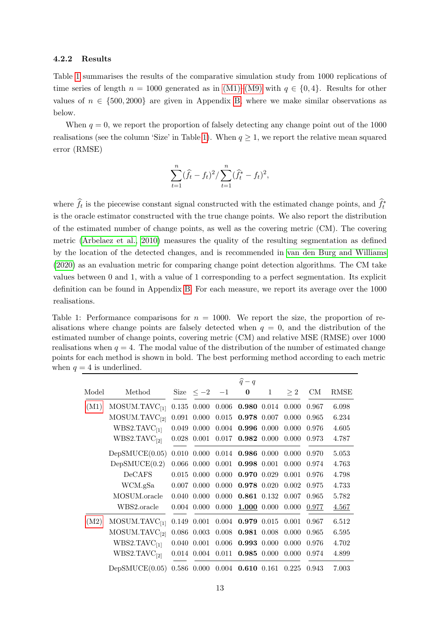#### 4.2.2 Results

Table [1](#page-12-0) summarises the results of the comparative simulation study from 1000 replications of time series of length  $n = 1000$  generated as in [\(M1\)–](#page-10-1)[\(M9\)](#page-11-4) with  $q \in \{0, 4\}$ . Results for other values of  $n \in \{500, 2000\}$  are given in Appendix [B,](#page-23-2) where we make similar observations as below.

When  $q = 0$ , we report the proportion of falsely detecting any change point out of the 1000 realisations (see the column 'Size' in Table [1\)](#page-12-0). When  $q \ge 1$ , we report the relative mean squared error (RMSE)

$$
\sum_{t=1}^{n} (\hat{f}_t - f_t)^2 / \sum_{t=1}^{n} (\hat{f}_t^* - f_t)^2,
$$

where  $\hat{f}_t$  is the piecewise constant signal constructed with the estimated change points, and  $\hat{f}_t^*$ is the oracle estimator constructed with the true change points. We also report the distribution of the estimated number of change points, as well as the covering metric (CM). The covering metric [\(Arbelaez et al., 2010\)](#page-19-4) measures the quality of the resulting segmentation as defined by the location of the detected changes, and is recommended in [van den Burg and Williams](#page-22-6) [\(2020\)](#page-22-6) as an evaluation metric for comparing change point detection algorithms. The CM take values between 0 and 1, with a value of 1 corresponding to a perfect segmentation. Its explicit definition can be found in Appendix [B.](#page-23-2) For each measure, we report its average over the 1000 realisations.

<span id="page-12-0"></span>Table 1: Performance comparisons for  $n = 1000$ . We report the size, the proportion of realisations where change points are falsely detected when  $q = 0$ , and the distribution of the estimated number of change points, covering metric (CM) and relative MSE (RMSE) over 1000 realisations when  $q = 4$ . The modal value of the distribution of the number of estimated change points for each method is shown in bold. The best performing method according to each metric when  $q = 4$  is underlined.

|       |                           |                 |                     | $\widehat{q}-q$                                      |              |          |       |             |
|-------|---------------------------|-----------------|---------------------|------------------------------------------------------|--------------|----------|-------|-------------|
| Model | Method                    |                 | Size $\leq -2$ $-1$ | $\bf{0}$                                             | $\mathbf{1}$ | $\geq 2$ | CM    | <b>RMSE</b> |
| (M1)  | MOSUM.TAVC <sub>[1]</sub> |                 |                     | $0.135$ $0.000$ $0.006$ <b>0.980</b> $0.014$ $0.000$ |              |          | 0.967 | 6.098       |
|       | MOSUM.TAVC <sub>[2]</sub> | 0.091 0.000     | 0.015               | 0.978 0.007                                          |              | 0.000    | 0.965 | 6.234       |
|       | WBS2.TAVC <sub>[1]</sub>  | $0.049$ $0.000$ |                     | $0.004$ 0.996 0.000                                  |              | 0.000    | 0.976 | 4.605       |
|       | WBS2.TAVC <sub>[2]</sub>  | $0.028$ 0.001   | 0.017               | 0.982 0.000                                          |              | 0.000    | 0.973 | 4.787       |
|       | DepSMUCE(0.05)            |                 |                     | $0.010$ $0.000$ $0.014$ <b>0.986</b> $0.000$ $0.000$ |              |          | 0.970 | 5.053       |
|       | DepSMUCE(0.2)             | $0.066$ 0.000   |                     | $0.001$ 0.998 0.001                                  |              | 0.000    | 0.974 | 4.763       |
|       | <b>DeCAFS</b>             | $0.015$ 0.000   | 0.000               | 0.970 0.029                                          |              | 0.001    | 0.976 | 4.798       |
|       | WCM.gSa                   | $0.007$ 0.000   | 0.000               | 0.978 0.020                                          |              | 0.002    | 0.975 | 4.733       |
|       | MOSUM.oracle              | $0.040\ 0.000$  | 0.000               | 0.861 0.132                                          |              | 0.007    | 0.965 | 5.782       |
|       | WBS2.oracle               | $0.004$ 0.000   | 0.000               | $1.000$ 0.000                                        |              | 0.000    | 0.977 | 4.567       |
| (M2)  | MOSUM.TAVC <sub>[1]</sub> |                 |                     | $0.149$ $0.001$ $0.004$ <b>0.979</b> $0.015$ $0.001$ |              |          | 0.967 | 6.512       |
|       | MOSUM.TAVC <sub>[2]</sub> | $0.086$ 0.003   |                     | $0.008$ 0.981 0.008                                  |              | 0.000    | 0.965 | 6.595       |
|       | WBS2.TAVC <sub>[1]</sub>  | $0.040$ $0.001$ | 0.006               | 0.993 0.000                                          |              | 0.000    | 0.976 | 4.702       |
|       | WBS2.TAVC <sub>[2]</sub>  | 0.014 0.004     | 0.011               | 0.985 0.000                                          |              | 0.000    | 0.974 | 4.899       |
|       | DepSMUCE(0.05)            |                 |                     | $0.586$ $0.000$ $0.004$ <b>0.610</b> $0.161$ $0.225$ |              |          | 0.943 | 7.003       |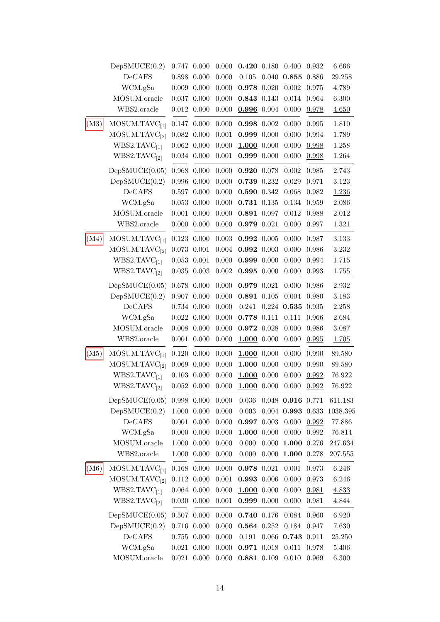|      | DepSMUCE(0.2)             | 0.747     | 0.000           | 0.000     | 0.420 0.180     |       | 0.400               | 0.932 | 6.666    |
|------|---------------------------|-----------|-----------------|-----------|-----------------|-------|---------------------|-------|----------|
|      | DeCAFS                    | 0.898     | 0.000           | 0.000     | 0.105           | 0.040 | 0.855               | 0.886 | 29.258   |
|      | WCM.gSa                   |           | $0.009$ $0.000$ | 0.000     | 0.978 0.020     |       | 0.002               | 0.975 | 4.789    |
|      | MOSUM.oracle              | 0.037     | 0.000           | 0.000     | 0.843 0.143     |       | 0.014               | 0.964 | 6.300    |
|      | WBS2.oracle               | 0.012     | 0.000           | 0.000     | 0.996 0.004     |       | 0.000               | 0.978 | 4.650    |
| (M3) | MOSUM.TAVC <sub>[1]</sub> | 0.147     | 0.000           | 0.000     | 0.998 0.002     |       | 0.000               | 0.995 | 1.810    |
|      | MOSUM.TAVC <sub>[2]</sub> | 0.082     | 0.000           | 0.001     | 0.999 0.000     |       | 0.000               | 0.994 | 1.789    |
|      | WBS2.TAVC <sub>[1]</sub>  |           | $0.062\ 0.000$  | 0.000     | $1.000$ 0.000   |       | 0.000               | 0.998 | 1.258    |
|      | WBS2.TAVC <sub>[2]</sub>  |           | 0.034 0.000     | 0.001     | 0.999 0.000     |       | 0.000               | 0.998 | 1.264    |
|      | DepSMUCE(0.05)            | 0.968     | 0.000           | 0.000     | 0.920 0.078     |       | 0.002               | 0.985 | 2.743    |
|      | DepSMUCE(0.2)             | 0.996     | 0.000           | 0.000     | 0.739 0.232     |       | 0.029               | 0.971 | 3.123    |
|      | DeCAFS                    |           | $0.597$ $0.000$ | 0.000     | 0.590 0.342     |       | 0.068               | 0.982 | 1.236    |
|      | WCM.gSa                   |           | $0.053$ $0.000$ | 0.000     | $0.731$ $0.135$ |       | 0.134               | 0.959 | 2.086    |
|      | MOSUM.oracle              | 0.001     | 0.000           | 0.000     | 0.891 0.097     |       | 0.012               | 0.988 | 2.012    |
|      | WBS2.oracle               | 0.000     | 0.000           | 0.000     | 0.979 0.021     |       | 0.000               | 0.997 | 1.321    |
| (M4) | MOSUM.TAVC <sub>[1]</sub> | 0.123     | 0.000           | 0.003     | 0.992 0.005     |       | 0.000               | 0.987 | 3.133    |
|      | MOSUM.TAVC <sub>[2]</sub> | 0.073     | 0.001           | 0.004     | 0.992 0.003     |       | 0.000               | 0.986 | 3.232    |
|      | WBS2.TAVC <sub>[1]</sub>  | 0.053     | 0.001           | 0.000     | 0.999 0.000     |       | 0.000               | 0.994 | 1.715    |
|      | WBS2.TAVC <sub>[2]</sub>  | 0.035     | 0.003           | 0.002     | $0.995$ 0.000   |       | 0.000               | 0.993 | 1.755    |
|      | DepSMUCE(0.05)            | 0.678     | 0.000           | 0.000     | 0.979 0.021     |       | 0.000               | 0.986 | 2.932    |
|      | DepSMUCE(0.2)             | 0.907     | 0.000           | 0.000     | 0.891 0.105     |       | 0.004               | 0.980 | 3.183    |
|      | DeCAFS                    |           | 0.734 0.000     | 0.000     | 0.241           | 0.224 | 0.535               | 0.935 | 2.258    |
|      | WCM.gSa                   | 0.022     | 0.000           | 0.000     | 0.778 0.111     |       | 0.111               | 0.966 | 2.684    |
|      | MOSUM.oracle              | 0.008     | 0.000           | 0.000     | 0.972 0.028     |       | 0.000               | 0.986 | 3.087    |
|      | WBS2.oracle               | 0.001     | 0.000           | 0.000     | $1.000$ 0.000   |       | 0.000               | 0.995 | 1.705    |
| (M5) | MOSUM.TAVC <sub>[1]</sub> | 0.120     | 0.000           | 0.000     | $1.000$ 0.000   |       | 0.000               | 0.990 | 89.580   |
|      | MOSUM.TAVC <sub>[2]</sub> | 0.069     | 0.000           | 0.000     | $1.000$ 0.000   |       | 0.000               | 0.990 | 89.580   |
|      | WBS2.TAVC <sub>[1]</sub>  | 0.103     | 0.000           | 0.000     | $1.000$ 0.000   |       | 0.000               | 0.992 | 76.922   |
|      | WBS2.TAVC <sub>[2]</sub>  |           | $0.052\ 0.000$  | 0.000     | 1.000 0.000     |       | 0.000               | 0.992 | 76.922   |
|      | DepSMUCE(0.05)            |           | $0.998$ $0.000$ | 0.000     | 0.036           |       | $0.048$ 0.916 0.771 |       | 611.183  |
|      | DepSMUCE(0.2)             | 1.000     | 0.000           | 0.000     | 0.003           |       | $0.004$ 0.993 0.633 |       | 1038.395 |
|      | DeCAFS                    | 0.001     | 0.000           | 0.000     | 0.997           | 0.003 | 0.000               | 0.992 | 77.886   |
|      | WCM.gSa                   | 0.000     | 0.000           | 0.000     | 1.000           | 0.000 | 0.000               | 0.992 | 76.814   |
|      | MOSUM.oracle              | 1.000     | 0.000           | 0.000     | 0.000           | 0.000 | 1.000               | 0.276 | 247.634  |
|      | WBS2.oracle               | 1.000     | 0.000           | 0.000     | 0.000           | 0.000 | 1.000               | 0.278 | 207.555  |
| (M6) | MOSUM.TAVC <sub>[1]</sub> | 0.168     | 0.000           | $0.000\,$ | 0.978 0.021     |       | 0.001               | 0.973 | 6.246    |
|      | MOSUM.TAVC <sub>[2]</sub> |           | $0.112$ $0.000$ | 0.001     | 0.993 0.006     |       | 0.000               | 0.973 | 6.246    |
|      | WBS2.TAVC <sub>[1]</sub>  | 0.064     | 0.000           | 0.000     | $1.000$ 0.000   |       | 0.000               | 0.981 | 4.833    |
|      | WBS2.TAVC <sub>[2]</sub>  | 0.030     | 0.000           | 0.001     | 0.999 0.000     |       | 0.000               | 0.981 | 4.844    |
|      | DepSMUCE(0.05)            | 0.507     | 0.000           | 0.000     | 0.740 0.176     |       | 0.084               | 0.960 | 6.920    |
|      | DepSMUCE(0.2)             | 0.716     | 0.000           | 0.000     | 0.564 0.252     |       | 0.184               | 0.947 | 7.630    |
|      | DeCAFS                    | $0.755\,$ | 0.000           | 0.000     | 0.191           | 0.066 | 0.743               | 0.911 | 25.250   |
|      | WCM.gSa                   | 0.021     | 0.000           | 0.000     | 0.971           | 0.018 | 0.011               | 0.978 | 5.406    |
|      | MOSUM.oracle              |           | $0.021$ $0.000$ | 0.000     | 0.881 0.109     |       | 0.010               | 0.969 | 6.300    |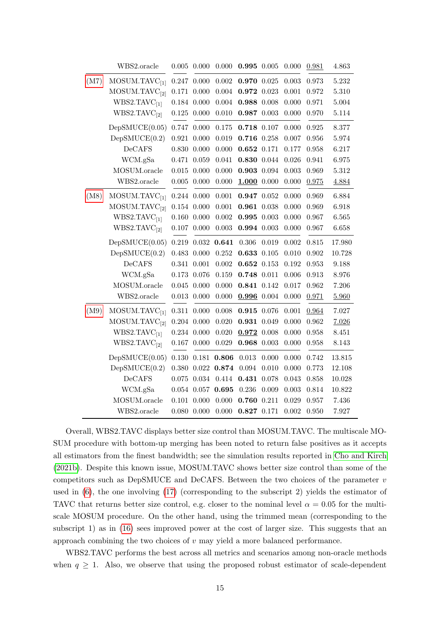|      | WBS2.oracle               | 0.005       | 0.000           | 0.000 | 0.995 0.005     |       | 0.000       | 0.981     | 4.863     |
|------|---------------------------|-------------|-----------------|-------|-----------------|-------|-------------|-----------|-----------|
| (M7) | MOSUM.TAVC <sub>[1]</sub> | 0.247       | 0.000           | 0.002 | 0.970 0.025     |       | 0.003       | 0.973     | 5.232     |
|      | MOSUM.TAVC <sub>[2]</sub> | 0.171       | 0.000           | 0.004 | 0.972 0.023     |       | 0.001       | 0.972     | 5.310     |
|      | WBS2.TAVC <sub>[1]</sub>  | 0.184       | 0.000           | 0.004 | 0.988 0.008     |       | 0.000       | 0.971     | $5.004\,$ |
|      | WBS2.TAVC <sub>[2]</sub>  | $0.125\,$   | 0.000           | 0.010 | 0.987 0.003     |       | 0.000       | 0.970     | 5.114     |
|      | DepSMUCE(0.05)            | 0.747       | 0.000           | 0.175 | 0.718 0.107     |       | 0.000       | 0.925     | 8.377     |
|      | DepSMUCE(0.2)             | 0.921       | 0.000           | 0.019 | 0.716 0.258     |       | 0.007       | 0.956     | 5.974     |
|      | DeCAFS                    | 0.830       | 0.000           | 0.000 | $0.652$ 0.171   |       | 0.177       | 0.958     | 6.217     |
|      | WCM.gSa                   | 0.471       | 0.059           | 0.041 | 0.830 0.044     |       | 0.026       | 0.941     | 6.975     |
|      | MOSUM.oracle              | $\,0.015\,$ | 0.000           | 0.000 | $0.903$ 0.094   |       | 0.003       | 0.969     | 5.312     |
|      | WBS2.oracle               | $0.005\,$   | 0.000           | 0.000 | $1.000$ 0.000   |       | 0.000       | 0.975     | 4.884     |
| (M8) | MOSUM.TAVC <sub>[1]</sub> | 0.244       | 0.000           | 0.001 | 0.947 0.052     |       | 0.000       | 0.969     | 6.884     |
|      | MOSUM.TAVC <sub>[2]</sub> |             | $0.154$ $0.000$ | 0.001 | $0.961$ $0.038$ |       | 0.000       | 0.969     | 6.918     |
|      | WBS2.TAVC <sub>[1]</sub>  | 0.160       | 0.000           | 0.002 | $0.995$ 0.003   |       | 0.000       | 0.967     | 6.565     |
|      | WBS2.TAVC <sub>[2]</sub>  | 0.107       | 0.000           | 0.003 | $0.994$ 0.003   |       | 0.000       | $0.967\,$ | 6.658     |
|      | DepSMUCE(0.05)            | 0.219       | $\,0.032\,$     | 0.641 | 0.306           | 0.019 | 0.002       | 0.815     | 17.980    |
|      | DepSMUCE(0.2)             | 0.483       | 0.000           | 0.252 | 0.633 0.105     |       | 0.010       | 0.902     | 10.728    |
|      | DeCAFS                    | 0.341       | 0.001           | 0.002 | $0.652$ 0.153   |       | 0.192       | 0.953     | 9.188     |
|      | WCM.gSa                   | 0.173       | 0.076           | 0.159 | 0.748 0.011     |       | 0.006       | 0.913     | 8.976     |
|      | MOSUM.oracle              | 0.045       | 0.000           | 0.000 | 0.841 0.142     |       | 0.017       | 0.962     | 7.206     |
|      | WBS2.oracle               | $\,0.013\,$ | 0.000           | 0.000 | $0.996$ 0.004   |       | 0.000       | 0.971     | 5.960     |
| (M9) | MOSUM.TAVC <sub>[1]</sub> | 0.311       | 0.000           | 0.008 | 0.915 0.076     |       | 0.001       | 0.964     | 7.027     |
|      | MOSUM.TAVC <sub>[2]</sub> |             | $0.204$ $0.000$ | 0.020 | 0.931 0.049     |       | 0.000       | 0.962     | 7.026     |
|      | WBS2.TAVC <sub>[1]</sub>  |             | $0.234$ $0.000$ | 0.020 | 0.972 0.008     |       | 0.000       | 0.958     | 8.451     |
|      | WBS2.TAVC <sub>[2]</sub>  |             | $0.167$ $0.000$ | 0.029 | $0.968$ 0.003   |       | 0.000       | 0.958     | 8.143     |
|      | DepSMUCE(0.05)            | 0.130       | 0.181           | 0.806 | 0.013           | 0.000 | 0.000       | 0.742     | 13.815    |
|      | DepSMUCE(0.2)             | $0.380\,$   | 0.022           | 0.874 | 0.094           | 0.010 | 0.000       | 0.773     | 12.108    |
|      | DeCAFS                    | 0.075       | 0.034           | 0.414 | 0.431           | 0.078 | 0.043       | 0.858     | 10.028    |
|      | WCM.gSa                   | 0.054       | 0.057           | 0.695 | 0.236           | 0.009 | $\,0.003\,$ | 0.814     | 10.822    |
|      | MOSUM.oracle              | $0.101\,$   | 0.000           | 0.000 | 0.760           | 0.211 | 0.029       | 0.957     | 7.436     |
|      | WBS2.oracle               |             | $0.080$ $0.000$ | 0.000 | 0.827 0.171     |       | 0.002       | 0.950     | 7.927     |

Overall, WBS2.TAVC displays better size control than MOSUM.TAVC. The multiscale MO-SUM procedure with bottom-up merging has been noted to return false positives as it accepts all estimators from the finest bandwidth; see the simulation results reported in [Cho and Kirch](#page-20-13) [\(2021b\)](#page-20-13). Despite this known issue, MOSUM.TAVC shows better size control than some of the competitors such as DepSMUCE and DeCAFS. Between the two choices of the parameter  $v$ used in [\(6\)](#page-4-2), the one involving [\(17\)](#page-9-3) (corresponding to the subscript 2) yields the estimator of TAVC that returns better size control, e.g. closer to the nominal level  $\alpha = 0.05$  for the multiscale MOSUM procedure. On the other hand, using the trimmed mean (corresponding to the subscript 1) as in [\(16\)](#page-9-2) sees improved power at the cost of larger size. This suggests that an approach combining the two choices of  $v$  may yield a more balanced performance.

WBS2.TAVC performs the best across all metrics and scenarios among non-oracle methods when  $q \geq 1$ . Also, we observe that using the proposed robust estimator of scale-dependent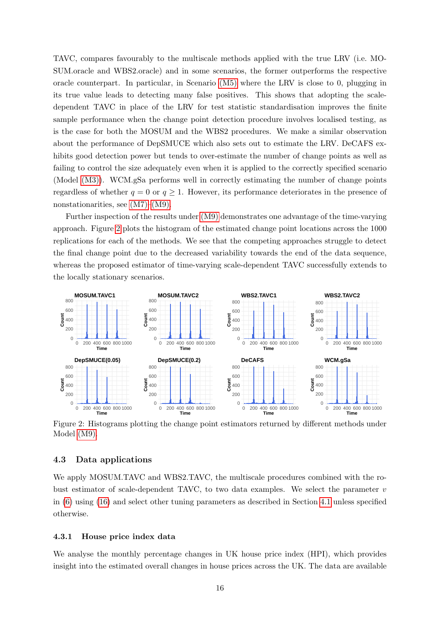TAVC, compares favourably to the multiscale methods applied with the true LRV (i.e. MO-SUM.oracle and WBS2.oracle) and in some scenarios, the former outperforms the respective oracle counterpart. In particular, in Scenario [\(M5\)](#page-11-2) where the LRV is close to 0, plugging in its true value leads to detecting many false positives. This shows that adopting the scaledependent TAVC in place of the LRV for test statistic standardisation improves the finite sample performance when the change point detection procedure involves localised testing, as is the case for both the MOSUM and the WBS2 procedures. We make a similar observation about the performance of DepSMUCE which also sets out to estimate the LRV. DeCAFS exhibits good detection power but tends to over-estimate the number of change points as well as failing to control the size adequately even when it is applied to the correctly specified scenario (Model [\(M3\)\)](#page-10-3). WCM.gSa performs well in correctly estimating the number of change points regardless of whether  $q = 0$  or  $q \ge 1$ . However, its performance deteriorates in the presence of nonstationarities, see [\(M7\)–](#page-11-3)[\(M9\).](#page-11-4)

Further inspection of the results under [\(M9\)](#page-11-4) demonstrates one advantage of the time-varying approach. Figure [2](#page-15-0) plots the histogram of the estimated change point locations across the 1000 replications for each of the methods. We see that the competing approaches struggle to detect the final change point due to the decreased variability towards the end of the data sequence, whereas the proposed estimator of time-varying scale-dependent TAVC successfully extends to the locally stationary scenarios.

<span id="page-15-0"></span>

Figure 2: Histograms plotting the change point estimators returned by different methods under Model [\(M9\).](#page-11-4)

#### 4.3 Data applications

We apply MOSUM.TAVC and WBS2.TAVC, the multiscale procedures combined with the robust estimator of scale-dependent TAVC, to two data examples. We select the parameter  $v$ in [\(6\)](#page-4-2) using [\(16\)](#page-9-2) and select other tuning parameters as described in Section [4.1](#page-9-4) unless specified otherwise.

#### 4.3.1 House price index data

We analyse the monthly percentage changes in UK house price index (HPI), which provides insight into the estimated overall changes in house prices across the UK. The data are available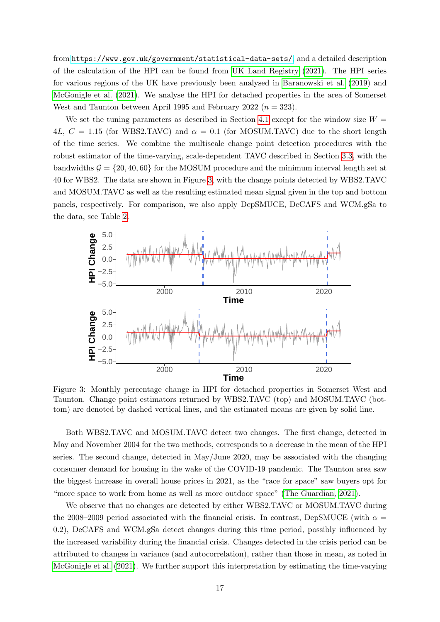from <https://www.gov.uk/government/statistical-data-sets/>, and a detailed description of the calculation of the HPI can be found from [UK Land Registry](#page-22-7) [\(2021\)](#page-22-7). The HPI series for various regions of the UK have previously been analysed in [Baranowski et al.](#page-19-5) [\(2019\)](#page-19-5) and [McGonigle et al.](#page-21-12) [\(2021\)](#page-21-12). We analyse the HPI for detached properties in the area of Somerset West and Taunton between April 1995 and February 2022 ( $n = 323$ ).

We set the tuning parameters as described in Section [4.1](#page-9-4) except for the window size  $W =$ 4L,  $C = 1.15$  (for WBS2.TAVC) and  $\alpha = 0.1$  (for MOSUM.TAVC) due to the short length of the time series. We combine the multiscale change point detection procedures with the robust estimator of the time-varying, scale-dependent TAVC described in Section [3.3,](#page-7-2) with the bandwidths  $\mathcal{G} = \{20, 40, 60\}$  for the MOSUM procedure and the minimum interval length set at 40 for WBS2. The data are shown in Figure [3,](#page-16-0) with the change points detected by WBS2.TAVC and MOSUM.TAVC as well as the resulting estimated mean signal given in the top and bottom panels, respectively. For comparison, we also apply DepSMUCE, DeCAFS and WCM.gSa to the data, see Table [2.](#page-17-0)

<span id="page-16-0"></span>

Figure 3: Monthly percentage change in HPI for detached properties in Somerset West and Taunton. Change point estimators returned by WBS2.TAVC (top) and MOSUM.TAVC (bottom) are denoted by dashed vertical lines, and the estimated means are given by solid line.

Both WBS2.TAVC and MOSUM.TAVC detect two changes. The first change, detected in May and November 2004 for the two methods, corresponds to a decrease in the mean of the HPI series. The second change, detected in May/June 2020, may be associated with the changing consumer demand for housing in the wake of the COVID-19 pandemic. The Taunton area saw the biggest increase in overall house prices in 2021, as the "race for space" saw buyers opt for "more space to work from home as well as more outdoor space" [\(The Guardian, 2021\)](#page-21-13).

We observe that no changes are detected by either WBS2.TAVC or MOSUM.TAVC during the 2008–2009 period associated with the financial crisis. In contrast, DepSMUCE (with  $\alpha =$ 0.2), DeCAFS and WCM.gSa detect changes during this time period, possibly influenced by the increased variability during the financial crisis. Changes detected in the crisis period can be attributed to changes in variance (and autocorrelation), rather than those in mean, as noted in [McGonigle et al.](#page-21-12) [\(2021\)](#page-21-12). We further support this interpretation by estimating the time-varying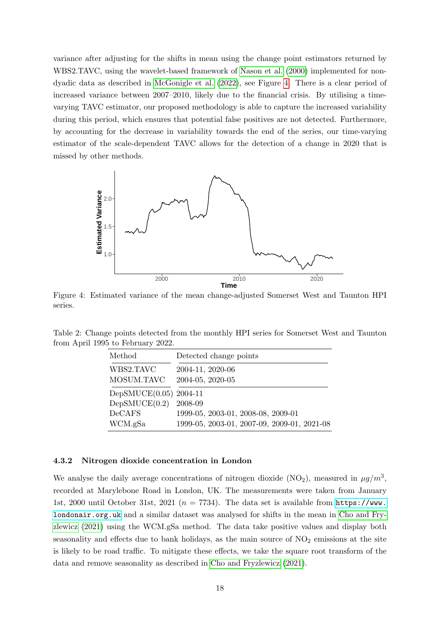variance after adjusting for the shifts in mean using the change point estimators returned by WBS2.TAVC, using the wavelet-based framework of [Nason et al.](#page-21-11) [\(2000\)](#page-21-11) implemented for nondyadic data as described in [McGonigle et al.](#page-21-14) [\(2022\)](#page-21-14), see Figure [4.](#page-17-1) There is a clear period of increased variance between 2007–2010, likely due to the financial crisis. By utilising a timevarying TAVC estimator, our proposed methodology is able to capture the increased variability during this period, which ensures that potential false positives are not detected. Furthermore, by accounting for the decrease in variability towards the end of the series, our time-varying estimator of the scale-dependent TAVC allows for the detection of a change in 2020 that is missed by other methods.

<span id="page-17-1"></span>

Figure 4: Estimated variance of the mean change-adjusted Somerset West and Taunton HPI series.

<span id="page-17-0"></span>

| Table 2: Change points detected from the monthly HPI series for Somerset West and Taunton |  |  |
|-------------------------------------------------------------------------------------------|--|--|
| from April 1995 to February 2022.                                                         |  |  |

| Method                 | Detected change points                      |
|------------------------|---------------------------------------------|
| WBS2.TAVC              | 2004-11, 2020-06                            |
| MOSUM.TAVC             | 2004-05, 2020-05                            |
| DepSMUCE(0.05) 2004-11 |                                             |
| DepSMUCE(0.2)          | 2008-09                                     |
| <b>DeCAFS</b>          | 1999-05, 2003-01, 2008-08, 2009-01          |
| WCM.gSa                | 1999-05, 2003-01, 2007-09, 2009-01, 2021-08 |

#### 4.3.2 Nitrogen dioxide concentration in London

We analyse the daily average concentrations of nitrogen dioxide (NO<sub>2</sub>), measured in  $\mu g/m^3$ , recorded at Marylebone Road in London, UK. The measurements were taken from January 1st, 2000 until October 31st, 2021 ( $n = 7734$ ). The data set is available from [https://www.](https://www.londonair.org.uk) [londonair.org.uk](https://www.londonair.org.uk) and a similar dataset was analysed for shifts in the mean in [Cho and Fry](#page-20-2)[zlewicz](#page-20-2) [\(2021\)](#page-20-2) using the WCM.gSa method. The data take positive values and display both seasonality and effects due to bank holidays, as the main source of  $NO<sub>2</sub>$  emissions at the site is likely to be road traffic. To mitigate these effects, we take the square root transform of the data and remove seasonality as described in [Cho and Fryzlewicz](#page-20-2) [\(2021\)](#page-20-2).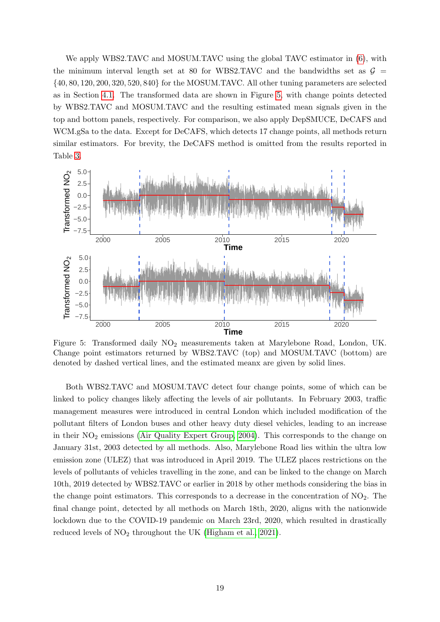We apply WBS2.TAVC and MOSUM.TAVC using the global TAVC estimator in [\(6\)](#page-4-2), with the minimum interval length set at 80 for WBS2.TAVC and the bandwidths set as  $\mathcal{G}$  = {40, 80, 120, 200, 320, 520, 840} for the MOSUM.TAVC. All other tuning parameters are selected as in Section [4.1.](#page-9-4) The transformed data are shown in Figure [5,](#page-18-0) with change points detected by WBS2.TAVC and MOSUM.TAVC and the resulting estimated mean signals given in the top and bottom panels, respectively. For comparison, we also apply DepSMUCE, DeCAFS and WCM.gSa to the data. Except for DeCAFS, which detects 17 change points, all methods return similar estimators. For brevity, the DeCAFS method is omitted from the results reported in Table [3.](#page-19-6)

<span id="page-18-0"></span>

Figure 5: Transformed daily NO<sup>2</sup> measurements taken at Marylebone Road, London, UK. Change point estimators returned by WBS2.TAVC (top) and MOSUM.TAVC (bottom) are denoted by dashed vertical lines, and the estimated meanx are given by solid lines.

Both WBS2.TAVC and MOSUM.TAVC detect four change points, some of which can be linked to policy changes likely affecting the levels of air pollutants. In February 2003, traffic management measures were introduced in central London which included modification of the pollutant filters of London buses and other heavy duty diesel vehicles, leading to an increase in their  $NO<sub>2</sub>$  emissions [\(Air Quality Expert Group, 2004\)](#page-19-7). This corresponds to the change on January 31st, 2003 detected by all methods. Also, Marylebone Road lies within the ultra low emission zone (ULEZ) that was introduced in April 2019. The ULEZ places restrictions on the levels of pollutants of vehicles travelling in the zone, and can be linked to the change on March 10th, 2019 detected by WBS2.TAVC or earlier in 2018 by other methods considering the bias in the change point estimators. This corresponds to a decrease in the concentration of  $NO<sub>2</sub>$ . The final change point, detected by all methods on March 18th, 2020, aligns with the nationwide lockdown due to the COVID-19 pandemic on March 23rd, 2020, which resulted in drastically reduced levels of  $NO<sub>2</sub>$  throughout the UK [\(Higham et al., 2021\)](#page-20-15).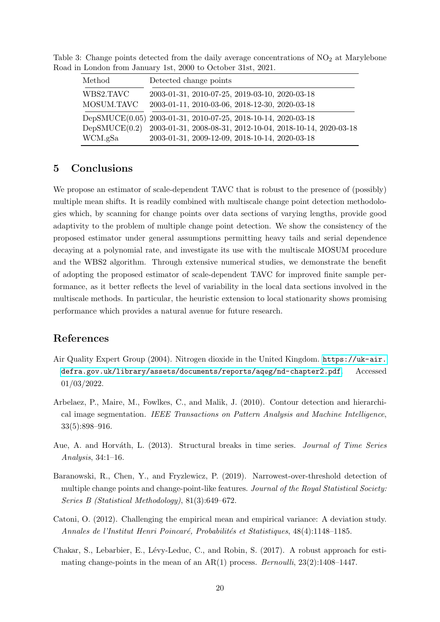| Method                  | Detected change points                                                                           |
|-------------------------|--------------------------------------------------------------------------------------------------|
| WBS2.TAVC<br>MOSUM.TAVC | 2003-01-31, 2010-07-25, 2019-03-10, 2020-03-18<br>2003-01-11, 2010-03-06, 2018-12-30, 2020-03-18 |
|                         | DepSMUCE(0.05) 2003-01-31, 2010-07-25, 2018-10-14, 2020-03-18                                    |
| DepSMUCE(0.2)           | 2003-01-31, 2008-08-31, 2012-10-04, 2018-10-14, 2020-03-18                                       |
| WCM.gSa                 | 2003-01-31, 2009-12-09, 2018-10-14, 2020-03-18                                                   |

<span id="page-19-6"></span>Table 3: Change points detected from the daily average concentrations of  $NO<sub>2</sub>$  at Marylebone Road in London from January 1st, 2000 to October 31st, 2021.

# <span id="page-19-3"></span>5 Conclusions

We propose an estimator of scale-dependent TAVC that is robust to the presence of (possibly) multiple mean shifts. It is readily combined with multiscale change point detection methodologies which, by scanning for change points over data sections of varying lengths, provide good adaptivity to the problem of multiple change point detection. We show the consistency of the proposed estimator under general assumptions permitting heavy tails and serial dependence decaying at a polynomial rate, and investigate its use with the multiscale MOSUM procedure and the WBS2 algorithm. Through extensive numerical studies, we demonstrate the benefit of adopting the proposed estimator of scale-dependent TAVC for improved finite sample performance, as it better reflects the level of variability in the local data sections involved in the multiscale methods. In particular, the heuristic extension to local stationarity shows promising performance which provides a natural avenue for future research.

# References

- <span id="page-19-7"></span>Air Quality Expert Group (2004). Nitrogen dioxide in the United Kingdom. [https://uk-air.](https://uk-air.defra.gov.uk/library/assets/documents/reports/aqeg/nd-chapter2.pdf) [defra.gov.uk/library/assets/documents/reports/aqeg/nd-chapter2.pdf](https://uk-air.defra.gov.uk/library/assets/documents/reports/aqeg/nd-chapter2.pdf). Accessed 01/03/2022.
- <span id="page-19-4"></span>Arbelaez, P., Maire, M., Fowlkes, C., and Malik, J. (2010). Contour detection and hierarchical image segmentation. IEEE Transactions on Pattern Analysis and Machine Intelligence, 33(5):898–916.
- <span id="page-19-0"></span>Aue, A. and Horváth, L. (2013). Structural breaks in time series. Journal of Time Series Analysis, 34:1–16.
- <span id="page-19-5"></span>Baranowski, R., Chen, Y., and Fryzlewicz, P. (2019). Narrowest-over-threshold detection of multiple change points and change-point-like features. Journal of the Royal Statistical Society: Series B (Statistical Methodology), 81(3):649–672.
- <span id="page-19-2"></span>Catoni, O. (2012). Challenging the empirical mean and empirical variance: A deviation study. Annales de l'Institut Henri Poincaré, Probabilités et Statistiques, 48(4):1148–1185.
- <span id="page-19-1"></span>Chakar, S., Lebarbier, E., Lévy-Leduc, C., and Robin, S. (2017). A robust approach for estimating change-points in the mean of an  $AR(1)$  process. *Bernoulli*, 23(2):1408–1447.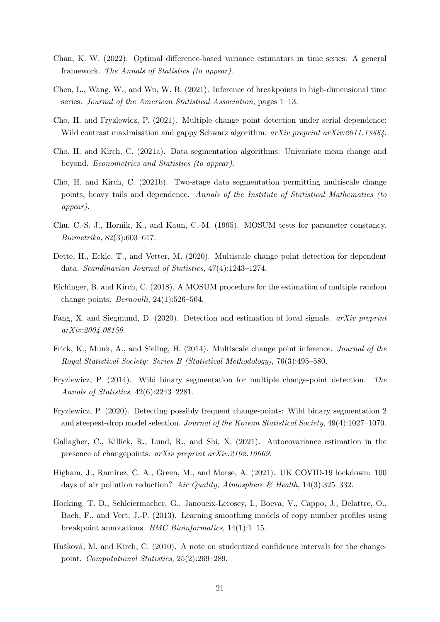- <span id="page-20-7"></span>Chan, K. W. (2022). Optimal difference-based variance estimators in time series: A general framework. The Annals of Statistics (to appear).
- <span id="page-20-11"></span>Chen, L., Wang, W., and Wu, W. B. (2021). Inference of breakpoints in high-dimensional time series. Journal of the American Statistical Association, pages 1–13.
- <span id="page-20-2"></span>Cho, H. and Fryzlewicz, P. (2021). Multiple change point detection under serial dependence: Wild contrast maximisation and gappy Schwarz algorithm. *arXiv preprint arXiv:2011.13884*.
- <span id="page-20-4"></span>Cho, H. and Kirch, C. (2021a). Data segmentation algorithms: Univariate mean change and beyond. Econometrics and Statistics (to appear).
- <span id="page-20-13"></span>Cho, H. and Kirch, C. (2021b). Two-stage data segmentation permitting multiscale change points, heavy tails and dependence. Annals of the Institute of Statistical Mathematics (to appear).
- <span id="page-20-12"></span>Chu, C.-S. J., Hornik, K., and Kaun, C.-M. (1995). MOSUM tests for parameter constancy. Biometrika, 82(3):603–617.
- <span id="page-20-6"></span>Dette, H., Eckle, T., and Vetter, M. (2020). Multiscale change point detection for dependent data. Scandinavian Journal of Statistics, 47(4):1243–1274.
- <span id="page-20-5"></span>Eichinger, B. and Kirch, C. (2018). A MOSUM procedure for the estimation of multiple random change points. *Bernoulli*,  $24(1):526-564$ .
- <span id="page-20-1"></span>Fang, X. and Siegmund, D. (2020). Detection and estimation of local signals. arXiv preprint arXiv:2004.08159.
- <span id="page-20-8"></span>Frick, K., Munk, A., and Sieling, H. (2014). Multiscale change point inference. Journal of the Royal Statistical Society: Series B (Statistical Methodology), 76(3):495–580.
- <span id="page-20-9"></span>Fryzlewicz, P. (2014). Wild binary segmentation for multiple change-point detection. The Annals of Statistics, 42(6):2243–2281.
- <span id="page-20-14"></span>Fryzlewicz, P. (2020). Detecting possibly frequent change-points: Wild binary segmentation 2 and steepest-drop model selection. Journal of the Korean Statistical Society, 49(4):1027–1070.
- <span id="page-20-3"></span>Gallagher, C., Killick, R., Lund, R., and Shi, X. (2021). Autocovariance estimation in the presence of changepoints. arXiv preprint arXiv:2102.10669.
- <span id="page-20-15"></span>Higham, J., Ramírez, C. A., Green, M., and Morse, A. (2021). UK COVID-19 lockdown: 100 days of air pollution reduction? Air Quality, Atmosphere & Health, 14(3):325–332.
- <span id="page-20-0"></span>Hocking, T. D., Schleiermacher, G., Janoueix-Lerosey, I., Boeva, V., Cappo, J., Delattre, O., Bach, F., and Vert, J.-P. (2013). Learning smoothing models of copy number profiles using breakpoint annotations. BMC Bioinformatics, 14(1):1–15.
- <span id="page-20-10"></span>Hušková, M. and Kirch, C. (2010). A note on studentized confidence intervals for the changepoint. Computational Statistics, 25(2):269–289.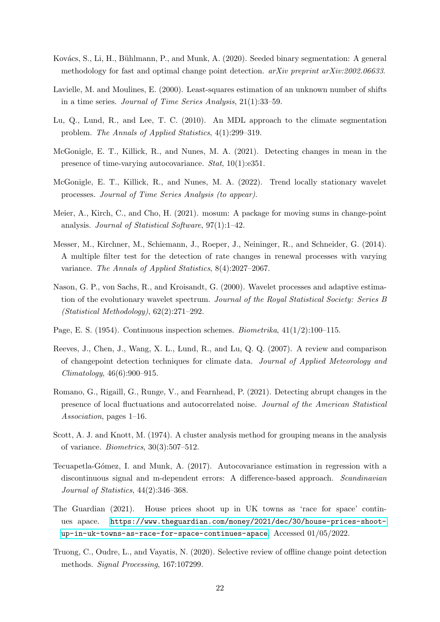- <span id="page-21-10"></span>Kovács, S., Li, H., Bühlmann, P., and Munk, A. (2020). Seeded binary segmentation: A general methodology for fast and optimal change point detection. *arXiv preprint arXiv:2002.06633*.
- <span id="page-21-5"></span>Lavielle, M. and Moulines, E. (2000). Least-squares estimation of an unknown number of shifts in a time series. Journal of Time Series Analysis, 21(1):33–59.
- <span id="page-21-4"></span>Lu, Q., Lund, R., and Lee, T. C. (2010). An MDL approach to the climate segmentation problem. The Annals of Applied Statistics, 4(1):299–319.
- <span id="page-21-12"></span>McGonigle, E. T., Killick, R., and Nunes, M. A. (2021). Detecting changes in mean in the presence of time-varying autocovariance. Stat, 10(1):e351.
- <span id="page-21-14"></span>McGonigle, E. T., Killick, R., and Nunes, M. A. (2022). Trend locally stationary wavelet processes. Journal of Time Series Analysis (to appear).
- <span id="page-21-8"></span>Meier, A., Kirch, C., and Cho, H. (2021). mosum: A package for moving sums in change-point analysis. Journal of Statistical Software, 97(1):1–42.
- <span id="page-21-7"></span>Messer, M., Kirchner, M., Schiemann, J., Roeper, J., Neininger, R., and Schneider, G. (2014). A multiple filter test for the detection of rate changes in renewal processes with varying variance. The Annals of Applied Statistics, 8(4):2027–2067.
- <span id="page-21-11"></span>Nason, G. P., von Sachs, R., and Kroisandt, G. (2000). Wavelet processes and adaptive estimation of the evolutionary wavelet spectrum. Journal of the Royal Statistical Society: Series B (Statistical Methodology), 62(2):271–292.
- <span id="page-21-0"></span>Page, E. S. (1954). Continuous inspection schemes. Biometrika, 41(1/2):100–115.
- <span id="page-21-1"></span>Reeves, J., Chen, J., Wang, X. L., Lund, R., and Lu, Q. Q. (2007). A review and comparison of changepoint detection techniques for climate data. Journal of Applied Meteorology and Climatology, 46(6):900–915.
- <span id="page-21-3"></span>Romano, G., Rigaill, G., Runge, V., and Fearnhead, P. (2021). Detecting abrupt changes in the presence of local fluctuations and autocorrelated noise. Journal of the American Statistical Association, pages 1–16.
- <span id="page-21-9"></span>Scott, A. J. and Knott, M. (1974). A cluster analysis method for grouping means in the analysis of variance. *Biometrics*,  $30(3):507-512$ .
- <span id="page-21-6"></span>Tecuapetla-Gómez, I. and Munk, A. (2017). Autocovariance estimation in regression with a discontinuous signal and m-dependent errors: A difference-based approach. Scandinavian Journal of Statistics, 44(2):346–368.
- <span id="page-21-13"></span>The Guardian (2021). House prices shoot up in UK towns as 'race for space' continues apace. [https://www.theguardian.com/money/2021/dec/30/house-prices-shoot](https://www.theguardian.com/money/2021/dec/30/house-prices-shoot-up-in-uk-towns-as-race-for-space-continues-apace)[up-in-uk-towns-as-race-for-space-continues-apace](https://www.theguardian.com/money/2021/dec/30/house-prices-shoot-up-in-uk-towns-as-race-for-space-continues-apace). Accessed 01/05/2022.
- <span id="page-21-2"></span>Truong, C., Oudre, L., and Vayatis, N. (2020). Selective review of offline change point detection methods. Signal Processing, 167:107299.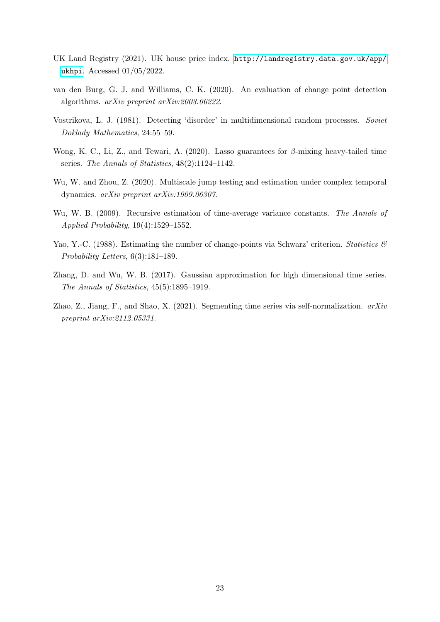- <span id="page-22-7"></span>UK Land Registry (2021). UK house price index. [http://landregistry.data.gov.uk/app/](http://landregistry.data.gov.uk/app/ukhpi) [ukhpi](http://landregistry.data.gov.uk/app/ukhpi). Accessed 01/05/2022.
- <span id="page-22-6"></span>van den Burg, G. J. and Williams, C. K. (2020). An evaluation of change point detection algorithms. arXiv preprint arXiv:2003.06222.
- <span id="page-22-5"></span>Vostrikova, L. J. (1981). Detecting 'disorder' in multidimensional random processes. Soviet Doklady Mathematics, 24:55–59.
- <span id="page-22-4"></span>Wong, K. C., Li, Z., and Tewari, A. (2020). Lasso guarantees for  $\beta$ -mixing heavy-tailed time series. The Annals of Statistics, 48(2):1124–1142.
- <span id="page-22-1"></span>Wu, W. and Zhou, Z. (2020). Multiscale jump testing and estimation under complex temporal dynamics. arXiv preprint arXiv:1909.06307.
- <span id="page-22-3"></span>Wu, W. B. (2009). Recursive estimation of time-average variance constants. The Annals of Applied Probability, 19(4):1529–1552.
- <span id="page-22-0"></span>Yao, Y.-C. (1988). Estimating the number of change-points via Schwarz' criterion. Statistics  $\mathscr{C}$ Probability Letters, 6(3):181–189.
- <span id="page-22-8"></span>Zhang, D. and Wu, W. B. (2017). Gaussian approximation for high dimensional time series. The Annals of Statistics, 45(5):1895–1919.
- <span id="page-22-2"></span>Zhao, Z., Jiang, F., and Shao, X. (2021). Segmenting time series via self-normalization.  $arXiv$ preprint arXiv:2112.05331.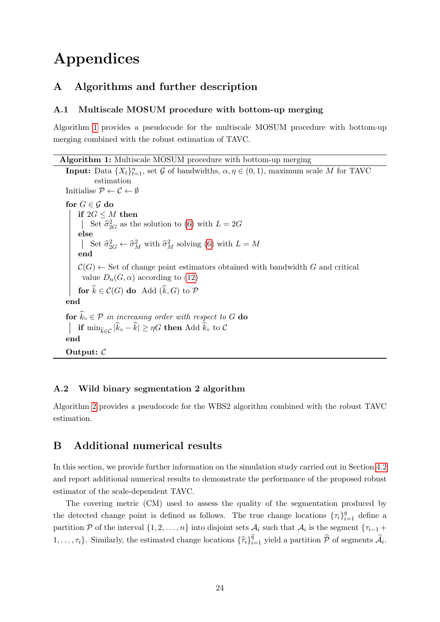# Appendices

# <span id="page-23-1"></span>A Algorithms and further description

## A.1 Multiscale MOSUM procedure with bottom-up merging

Algorithm [1](#page-23-0) provides a pseudocode for the multiscale MOSUM procedure with bottom-up merging combined with the robust estimation of TAVC.

Algorithm 1: Multiscale MOSUM procedure with bottom-up merging

```
Input: Data \{X_t\}_{t=1}^n, set G of bandwidths, \alpha, \eta \in (0, 1), maximum scale M for TAVC
           estimation
Initialise P \leftarrow C \leftarrow \emptysetfor G \in \mathcal{G} do
     if 2G \leq M then
          Set \widehat{\sigma}_{2G}^2(6) with L = 2Gelse
          Set \hat{\sigma}_{2G}^2 \leftarrow \hat{\sigma}_M^2 with \hat{\sigma}_M^2(6) with L = Mend
     \mathcal{C}(G) \leftarrow Set of change point estimators obtained with bandwidth G and critical
      value D_n(G, \alpha)(12)
    for \widehat{k} \in \mathcal{C}(G) do Add (\widehat{k}, G) to \mathcal{P}end
for \widehat{k}_{\circ} \in \mathcal{P} in increasing order with respect to G do
| if min_{\widehat{k} \in \mathcal{C}} |\widehat{k}_\circ - \widehat{k}| \ge \eta G then Add \widehat{k}_\circ to \mathcal{C}end
Output: C
```
### A.2 Wild binary segmentation 2 algorithm

Algorithm [2](#page-24-0) provides a pseudocode for the WBS2 algorithm combined with the robust TAVC estimation.

# <span id="page-23-2"></span>B Additional numerical results

In this section, we provide further information on the simulation study carried out in Section [4.2](#page-10-0) and report additional numerical results to demonstrate the performance of the proposed robust estimator of the scale-dependent TAVC.

The covering metric (CM) used to assess the quality of the segmentation produced by the detected change point is defined as follows. The true change locations  $\{\tau_i\}_{i=1}^q$  define a partition P of the interval  $\{1, 2, \ldots, n\}$  into disjoint sets  $\mathcal{A}_i$  such that  $\mathcal{A}_i$  is the segment  $\{\tau_{i-1} +$  $1, \ldots, \tau_i\}$ . Similarly, the estimated change locations  $\{\hat{\tau}_i\}_{i=1}^{\hat{q}}$  yield a partition  $\hat{\mathcal{P}}$  of segments  $\hat{\mathcal{A}}_i$ .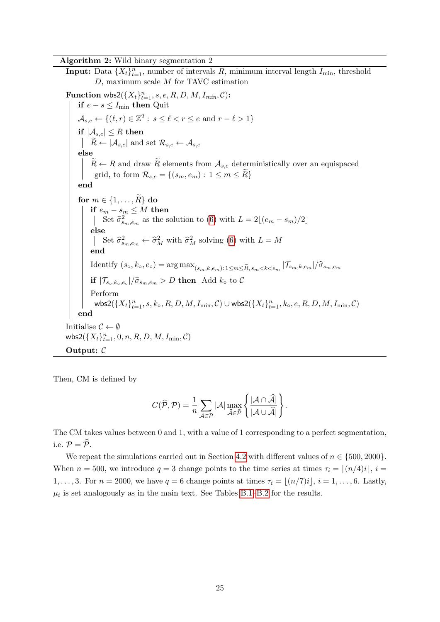Algorithm 2: Wild binary segmentation 2

<span id="page-24-0"></span>**Input:** Data  $\{X_t\}_{t=1}^n$ , number of intervals R, minimum interval length  $I_{\min}$ , threshold D, maximum scale M for TAVC estimation Function wbs2( $\{X_t\}_{t=1}^n$ , s, e, R, D, M, I<sub>min</sub>, C): if  $e − s ≤ I$ <sub>min</sub> then Quit  $\mathcal{A}_{s,e} \leftarrow \{(\ell, r) \in \mathbb{Z}^2 : s \leq \ell < r \leq e \text{ and } r - \ell > 1\}$ if  $|\mathcal{A}_{s,e}| \leq R$  then  $\begin{array}{c} \textbf{if} \ |\mathcal{A}_{s,e}| \leq R \ \textbf{then} \ \vert \quad \widetilde{R} \leftarrow |\mathcal{A}_{s,e}| \ \textbf{and set} \ \mathcal{R}_{s,e} \leftarrow \mathcal{A}_{s,e} \end{array}$ else  $R \leftarrow R$  and draw  $\widetilde{R}$  elements from  $\mathcal{A}_{s,e}$  deterministically over an equispaced grid, to form  $\mathcal{R}_{s,e} = \{(s_m, e_m): 1 \leq m \leq \tilde{R}\}\$ end for  $m \in \{1, \ldots, R\}$  do if  $e_m - s_m ≤ M$  then Set  $\hat{\sigma}_{s_m,e_m}^2$  as the solution to [\(6\)](#page-4-2) with  $L = 2\lfloor (e_m - s_m)/2 \rfloor$ else Set  $\widehat{\sigma}_{s_m,e_m}^2 \leftarrow \widehat{\sigma}_M^2$  with  $\widehat{\sigma}_M^2$  solving [\(6\)](#page-4-2) with  $L = M$ end  $\text{Identity} (s_o, k_o, e_o) = \arg \max_{(s_m, k, e_m): 1 \le m \le \tilde{R}, s_m < k < e_m \sqrt{\mathcal{T}_{s_m, k, e_m}} / \hat{\sigma}_{s_m, e_m}$ if  $|\mathcal{T}_{s_0,k_0,e_0}|/\hat{\sigma}_{s_m,e_m} > D$  then Add  $k_0$  to C Perform  $\mathsf{wbs2}(\{X_t\}_{t=1}^n, s, k_\circ, R, D, M, I_{\min}, \mathcal{C}) \cup \mathsf{wbs2}(\{X_t\}_{t=1}^n, k_\circ, e, R, D, M, I_{\min}, \mathcal{C})$ end Initialise  $\mathcal{C} \leftarrow \emptyset$ wbs2 $(\lbrace X_t \rbrace_{t=1}^n, 0, n, R, D, M, I_{\min}, C)$ Output:  $\mathcal C$ 

Then, CM is defined by

$$
C(\widehat{\mathcal{P}}, \mathcal{P}) = \frac{1}{n} \sum_{\mathcal{A} \in \mathcal{P}} |\mathcal{A}| \max_{\widehat{\mathcal{A}} \in \widehat{\mathcal{P}}} \left\{ \frac{|\mathcal{A} \cap \widehat{\mathcal{A}}|}{|\mathcal{A} \cup \widehat{\mathcal{A}}|} \right\}.
$$

The CM takes values between 0 and 1, with a value of 1 corresponding to a perfect segmentation, i.e.  $\mathcal{P} = \widehat{\mathcal{P}}$ .

We repeat the simulations carried out in Section [4.2](#page-10-0) with different values of  $n \in \{500, 2000\}$ . When  $n = 500$ , we introduce  $q = 3$  change points to the time series at times  $\tau_i = |(n/4)i|, i =$ 1, ..., 3. For  $n = 2000$ , we have  $q = 6$  change points at times  $\tau_i = |(n/7)i|$ ,  $i = 1, \ldots, 6$ . Lastly,  $\mu_i$  is set analogously as in the main text. See Tables [B.1–](#page-25-0)[B.2](#page-27-0) for the results.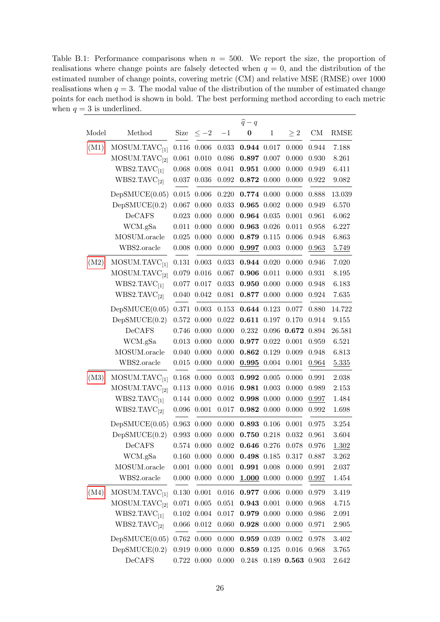<span id="page-25-0"></span>Table B.1: Performance comparisons when  $n = 500$ . We report the size, the proportion of realisations where change points are falsely detected when  $q = 0$ , and the distribution of the estimated number of change points, covering metric (CM) and relative MSE (RMSE) over 1000 realisations when  $q = 3$ . The modal value of the distribution of the number of estimated change points for each method is shown in bold. The best performing method according to each metric when  $q = 3$  is underlined.

|       |                           |             |                 |             | $\widehat{q}-q$ |              |          |                                                                                             |           |
|-------|---------------------------|-------------|-----------------|-------------|-----------------|--------------|----------|---------------------------------------------------------------------------------------------|-----------|
| Model | Method                    | Size        | $\leq -2$       | $-1$        | $\bf{0}$        | $\mathbf{1}$ | $\geq 2$ | $\mathrm{CM}% _{H}\left( \mathcal{M}\right) \equiv\mathrm{CM}_{H}\left( \mathcal{M}\right)$ | RMSE      |
| (M1)  | MOSUM.TAVC <sub>[1]</sub> | 0.116       | 0.006           | $\,0.033\,$ | 0.944 0.017     |              | 0.000    | 0.944                                                                                       | 7.188     |
|       | MOSUM.TAVC <sub>[2]</sub> | 0.061       | 0.010           | 0.086       | $0.897$ 0.007   |              | 0.000    | 0.930                                                                                       | 8.261     |
|       | WBS2.TAVC <sub>[1]</sub>  | 0.068       | 0.008           | 0.041       | $0.951$ $0.000$ |              | 0.000    | 0.949                                                                                       | 6.411     |
|       | WBS2.TAVC <sub>[2]</sub>  | 0.037       | 0.036           | 0.092       | 0.872           | 0.000        | 0.000    | 0.922                                                                                       | 9.082     |
|       | DepSMUCE(0.05)            | $\,0.015\,$ | 0.006           | 0.220       | 0.774 0.000     |              | 0.000    | 0.888                                                                                       | 13.039    |
|       | DepSMUCE(0.2)             | 0.067       | 0.000           | 0.033       | $0.965$ 0.002   |              | 0.000    | 0.949                                                                                       | 6.570     |
|       | DeCAFS                    | 0.023       | 0.000           | 0.000       | $0.964$ $0.035$ |              | 0.001    | 0.961                                                                                       | 6.062     |
|       | WCM.gSa                   | 0.011       | 0.000           | 0.000       | 0.963 0.026     |              | 0.011    | 0.958                                                                                       | 6.227     |
|       | MOSUM.oracle              | $0.025\,$   | 0.000           | 0.000       | 0.879           | 0.115        | 0.006    | 0.948                                                                                       | 6.863     |
|       | WBS2.oracle               | 0.008       | 0.000           | 0.000       | $0.997$ 0.003   |              | 0.000    | 0.963                                                                                       | 5.749     |
| (M2)  | MOSUM.TAVC <sub>[1]</sub> | 0.131       | 0.003           | 0.033       | 0.944 0.020     |              | 0.000    | 0.946                                                                                       | 7.020     |
|       | MOSUM.TAVC <sub>[2]</sub> |             | $0.079$ $0.016$ | 0.067       | $0.906$ $0.011$ |              | 0.000    | 0.931                                                                                       | 8.195     |
|       | WBS2.TAVC <sub>[1]</sub>  | 0.077       | 0.017           | 0.033       | 0.950           | 0.000        | 0.000    | 0.948                                                                                       | 6.183     |
|       | WBS2.TAVC <sub>[2]</sub>  | 0.040       | 0.042           | 0.081       | 0.877 0.000     |              | 0.000    | 0.924                                                                                       | 7.635     |
|       | DepSMUCE(0.05)            | 0.371       | 0.003           | 0.153       | 0.644 0.123     |              | 0.077    | 0.880                                                                                       | 14.722    |
|       | DepSMUCE(0.2)             | 0.572       | 0.000           | 0.022       | 0.611 0.197     |              | 0.170    | 0.914                                                                                       | 9.155     |
|       | DeCAFS                    | $0.746\,$   | 0.000           | 0.000       | 0.232           | $\,0.096\,$  | 0.672    | 0.894                                                                                       | 26.581    |
|       | WCM.gSa                   |             | $0.013$ $0.000$ | 0.000       | 0.977           | 0.022        | 0.001    | 0.959                                                                                       | 6.521     |
|       | MOSUM.oracle              | 0.040       | 0.000           | 0.000       | 0.862           | 0.129        | 0.009    | 0.948                                                                                       | 6.813     |
|       | WBS2.oracle               | 0.015       | 0.000           | 0.000       | 0.995           | 0.004        | 0.001    | 0.964                                                                                       | 5.335     |
| (M3)  | MOSUM.TAVC <sub>[1]</sub> | 0.168       | 0.000           | 0.003       | 0.992           | 0.005        | 0.000    | 0.991                                                                                       | 2.038     |
|       | MOSUM.TAVC <sub>[2]</sub> | 0.113       | 0.000           | 0.016       | 0.981           | 0.003        | 0.000    | 0.989                                                                                       | 2.153     |
|       | WBS2.TAVC <sub>[1]</sub>  |             | 0.144 0.000     | 0.002       | 0.998           | 0.000        | 0.000    | 0.997                                                                                       | 1.484     |
|       | WBS2.TAVC <sub>[2]</sub>  | $0.096\,$   | 0.001           | 0.017       | 0.982           | 0.000        | 0.000    | 0.992                                                                                       | 1.698     |
|       | DepSMUCE(0.05)            | 0.963       | 0.000           | 0.000       | 0.893 0.106     |              | 0.001    | 0.975                                                                                       | 3.254     |
|       | DepSMUCE(0.2)             | $\,0.993\,$ | 0.000           | 0.000       | $\bf0.750$      | 0.218        | 0.032    | 0.961                                                                                       | 3.604     |
|       | DeCAFS                    |             | $0.574$ $0.000$ | 0.002       | 0.646 0.276     |              | 0.078    | 0.976                                                                                       | 1.302     |
|       | WCM.gSa                   | 0.160       | 0.000           | 0.000       | 0.498 0.185     |              | 0.317    | 0.887                                                                                       | 3.262     |
|       | MOSUM.oracle              | 0.001       | 0.000           | 0.001       | 0.991           | 0.008        | 0.000    | 0.991                                                                                       | 2.037     |
|       | WBS2.oracle               | 0.000       | 0.000           | 0.000       | $1.000$ 0.000   |              | 0.000    | 0.997                                                                                       | 1.454     |
| (M4)  | MOSUM.TAVC <sub>[1]</sub> | 0.130       | 0.001           | 0.016       | 0.977 0.006     |              | 0.000    | 0.979                                                                                       | 3.419     |
|       | MOSUM.TAVC <sub>[2]</sub> | 0.071       | 0.005           | 0.051       | 0.943 0.001     |              | 0.000    | 0.968                                                                                       | 4.715     |
|       | WBS2.TAVC <sub>[1]</sub>  | 0.102       | 0.004           | 0.017       | 0.979           | 0.000        | 0.000    | 0.986                                                                                       | 2.091     |
|       | WBS2.TAVC <sub>[2]</sub>  | 0.066       | 0.012           | 0.060       | 0.928           | 0.000        | 0.000    | 0.971                                                                                       | $2.905\,$ |
|       | DepSMUCE(0.05)            | 0.762       | 0.000           | 0.000       | 0.959 0.039     |              | 0.002    | 0.978                                                                                       | 3.402     |
|       | DepSMUCE(0.2)             | 0.919       | 0.000           | 0.000       | 0.859           | 0.125        | 0.016    | 0.968                                                                                       | 3.765     |
|       | DeCAFS                    | 0.722       | 0.000           | 0.000       | 0.248           | 0.189        | 0.563    | 0.903                                                                                       | 2.642     |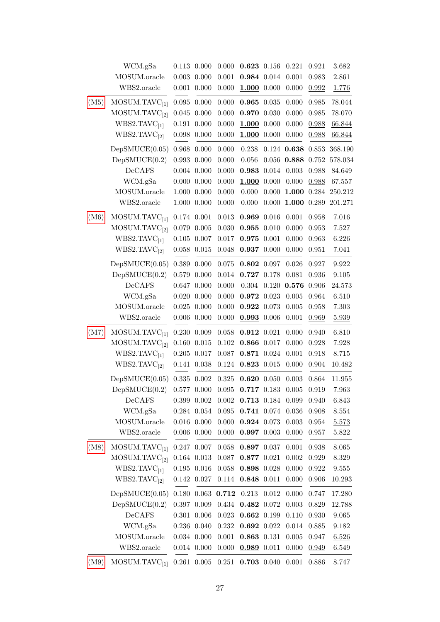| WCM.gSa                   |                                                        |       | 0.000                                                                                                                                                                                                                                                                                                                             |       |           | 0.221                                                                                                                                                                                                                                                                                                                                                                                                                                                                                                                                                                                        | 0.921         | 3.682       |
|---------------------------|--------------------------------------------------------|-------|-----------------------------------------------------------------------------------------------------------------------------------------------------------------------------------------------------------------------------------------------------------------------------------------------------------------------------------|-------|-----------|----------------------------------------------------------------------------------------------------------------------------------------------------------------------------------------------------------------------------------------------------------------------------------------------------------------------------------------------------------------------------------------------------------------------------------------------------------------------------------------------------------------------------------------------------------------------------------------------|---------------|-------------|
| MOSUM.oracle              | $0.003\,$                                              | 0.000 | 0.001                                                                                                                                                                                                                                                                                                                             |       |           | 0.001                                                                                                                                                                                                                                                                                                                                                                                                                                                                                                                                                                                        | 0.983         | 2.861       |
| WBS2.oracle               |                                                        |       | 0.000                                                                                                                                                                                                                                                                                                                             |       |           | 0.000                                                                                                                                                                                                                                                                                                                                                                                                                                                                                                                                                                                        | 0.992         | 1.776       |
|                           | 0.095                                                  | 0.000 | 0.000                                                                                                                                                                                                                                                                                                                             |       |           | 0.000                                                                                                                                                                                                                                                                                                                                                                                                                                                                                                                                                                                        | 0.985         | 78.044      |
|                           | 0.045                                                  | 0.000 | 0.000                                                                                                                                                                                                                                                                                                                             |       |           | 0.000                                                                                                                                                                                                                                                                                                                                                                                                                                                                                                                                                                                        | 0.985         | 78.070      |
| WBS2.TAVC <sub>[1]</sub>  | $0.191\,$                                              | 0.000 | 0.000                                                                                                                                                                                                                                                                                                                             |       |           | 0.000                                                                                                                                                                                                                                                                                                                                                                                                                                                                                                                                                                                        | 0.988         | 66.844      |
| WBS2.TAVC <sub>[2]</sub>  | $0.098\,$                                              | 0.000 | 0.000                                                                                                                                                                                                                                                                                                                             |       |           | 0.000                                                                                                                                                                                                                                                                                                                                                                                                                                                                                                                                                                                        | 0.988         | 66.844      |
| DepSMUCE(0.05)            | 0.968                                                  | 0.000 | 0.000                                                                                                                                                                                                                                                                                                                             | 0.238 |           |                                                                                                                                                                                                                                                                                                                                                                                                                                                                                                                                                                                              | 0.853         | 368.190     |
| DepSMUCE(0.2)             | 0.993                                                  | 0.000 | 0.000                                                                                                                                                                                                                                                                                                                             | 0.056 | 0.056     | 0.888                                                                                                                                                                                                                                                                                                                                                                                                                                                                                                                                                                                        | 0.752         | 578.034     |
| DeCAFS                    |                                                        |       | 0.000                                                                                                                                                                                                                                                                                                                             |       | 0.014     | 0.003                                                                                                                                                                                                                                                                                                                                                                                                                                                                                                                                                                                        | 0.988         | 84.649      |
| WCM.gSa                   |                                                        |       | 0.000                                                                                                                                                                                                                                                                                                                             |       |           | 0.000                                                                                                                                                                                                                                                                                                                                                                                                                                                                                                                                                                                        | 0.988         | 67.557      |
| MOSUM.oracle              | 1.000                                                  |       | 0.000                                                                                                                                                                                                                                                                                                                             | 0.000 | $0.000\,$ |                                                                                                                                                                                                                                                                                                                                                                                                                                                                                                                                                                                              |               | 250.212     |
| WBS2.oracle               | 1.000                                                  | 0.000 | 0.000                                                                                                                                                                                                                                                                                                                             | 0.000 | 0.000     | 1.000                                                                                                                                                                                                                                                                                                                                                                                                                                                                                                                                                                                        | 0.289         | 201.271     |
| MOSUM.TAVC <sub>[1]</sub> |                                                        |       | 0.013                                                                                                                                                                                                                                                                                                                             |       |           | 0.001                                                                                                                                                                                                                                                                                                                                                                                                                                                                                                                                                                                        | 0.958         | $7.016\,$   |
| MOSUM.TAVC <sub>[2]</sub> | 0.079                                                  | 0.005 | 0.030                                                                                                                                                                                                                                                                                                                             |       |           | 0.000                                                                                                                                                                                                                                                                                                                                                                                                                                                                                                                                                                                        | 0.953         | 7.527       |
| WBS2.TAVC <sub>[1]</sub>  | $0.105\,$                                              | 0.007 | $0.017\,$                                                                                                                                                                                                                                                                                                                         |       |           | 0.000                                                                                                                                                                                                                                                                                                                                                                                                                                                                                                                                                                                        | 0.963         | 6.226       |
| WBS2.TAVC <sub>[2]</sub>  | 0.058                                                  | 0.015 | 0.048                                                                                                                                                                                                                                                                                                                             |       |           | 0.000                                                                                                                                                                                                                                                                                                                                                                                                                                                                                                                                                                                        | 0.951         | 7.041       |
| DepSMUCE(0.05)            | 0.389                                                  | 0.000 | $0.075\,$                                                                                                                                                                                                                                                                                                                         |       |           | 0.026                                                                                                                                                                                                                                                                                                                                                                                                                                                                                                                                                                                        | 0.927         | 9.922       |
| DepSMUCE(0.2)             | 0.579                                                  | 0.000 | $0.014\,$                                                                                                                                                                                                                                                                                                                         |       |           | 0.081                                                                                                                                                                                                                                                                                                                                                                                                                                                                                                                                                                                        | 0.936         | 9.105       |
| DeCAFS                    | 0.647                                                  | 0.000 | 0.000                                                                                                                                                                                                                                                                                                                             | 0.304 | 0.120     | 0.576                                                                                                                                                                                                                                                                                                                                                                                                                                                                                                                                                                                        | 0.906         | 24.573      |
| WCM.gSa                   |                                                        |       | 0.000                                                                                                                                                                                                                                                                                                                             |       |           | $\,0.005\,$                                                                                                                                                                                                                                                                                                                                                                                                                                                                                                                                                                                  | 0.964         | 6.510       |
| MOSUM.oracle              | 0.025                                                  | 0.000 | 0.000                                                                                                                                                                                                                                                                                                                             |       |           | 0.005                                                                                                                                                                                                                                                                                                                                                                                                                                                                                                                                                                                        | 0.958         | 7.303       |
| WBS2.oracle               | $0.006\,$                                              | 0.000 | 0.000                                                                                                                                                                                                                                                                                                                             |       |           | 0.001                                                                                                                                                                                                                                                                                                                                                                                                                                                                                                                                                                                        | 0.969         | 5.939       |
| MOSUM.TAVC <sub>[1]</sub> | 0.230                                                  | 0.009 | 0.058                                                                                                                                                                                                                                                                                                                             |       |           | 0.000                                                                                                                                                                                                                                                                                                                                                                                                                                                                                                                                                                                        | 0.940         | 6.810       |
| MOSUM.TAVC <sub>[2]</sub> | 0.160                                                  | 0.015 | 0.102                                                                                                                                                                                                                                                                                                                             |       |           | 0.000                                                                                                                                                                                                                                                                                                                                                                                                                                                                                                                                                                                        | 0.928         | 7.928       |
| WBS2.TAVC <sub>[1]</sub>  | $0.205\,$                                              | 0.017 | $0.087\,$                                                                                                                                                                                                                                                                                                                         |       |           | 0.001                                                                                                                                                                                                                                                                                                                                                                                                                                                                                                                                                                                        | 0.918         | $8.715\,$   |
| WBS2.TAVC <sub>[2]</sub>  | 0.141                                                  | 0.038 | $0.124\,$                                                                                                                                                                                                                                                                                                                         |       |           | 0.000                                                                                                                                                                                                                                                                                                                                                                                                                                                                                                                                                                                        | 0.904         | 10.482      |
| DepSMUCE(0.05)            | $0.335\,$                                              | 0.002 | $0.325\,$                                                                                                                                                                                                                                                                                                                         |       |           | 0.003                                                                                                                                                                                                                                                                                                                                                                                                                                                                                                                                                                                        | 0.864         | $11.955\,$  |
| DepSMUCE(0.2)             | 0.577                                                  | 0.000 | 0.095                                                                                                                                                                                                                                                                                                                             |       |           | 0.005                                                                                                                                                                                                                                                                                                                                                                                                                                                                                                                                                                                        | 0.919         | 7.963       |
| DeCAFS                    |                                                        |       | 0.002                                                                                                                                                                                                                                                                                                                             |       |           | 0.099                                                                                                                                                                                                                                                                                                                                                                                                                                                                                                                                                                                        | 0.940         | 6.843       |
| WCM.gSa                   |                                                        |       | 0.095                                                                                                                                                                                                                                                                                                                             |       |           | 0.036                                                                                                                                                                                                                                                                                                                                                                                                                                                                                                                                                                                        | 0.908         | 8.554       |
| MOSUM.oracle              |                                                        |       | 0.000                                                                                                                                                                                                                                                                                                                             |       |           | 0.003                                                                                                                                                                                                                                                                                                                                                                                                                                                                                                                                                                                        | 0.954         | 5.573       |
| WBS2.oracle               | $0.006\,$                                              | 0.000 | 0.000                                                                                                                                                                                                                                                                                                                             |       |           | 0.000                                                                                                                                                                                                                                                                                                                                                                                                                                                                                                                                                                                        | 0.957         | 5.822       |
| MOSUM.TAVC <sub>[1]</sub> |                                                        |       | 0.058                                                                                                                                                                                                                                                                                                                             |       |           | 0.001                                                                                                                                                                                                                                                                                                                                                                                                                                                                                                                                                                                        | 0.938         | 8.065       |
| MOSUM.TAVC <sub>[2]</sub> |                                                        |       | 0.087                                                                                                                                                                                                                                                                                                                             |       |           | 0.002                                                                                                                                                                                                                                                                                                                                                                                                                                                                                                                                                                                        | 0.929         | 8.329       |
| WBS2.TAVC <sub>[1]</sub>  |                                                        |       | 0.058                                                                                                                                                                                                                                                                                                                             |       |           | 0.000                                                                                                                                                                                                                                                                                                                                                                                                                                                                                                                                                                                        | 0.922         | 9.555       |
| WBS2.TAVC <sub>[2]</sub>  |                                                        |       | 0.114                                                                                                                                                                                                                                                                                                                             |       |           | 0.000                                                                                                                                                                                                                                                                                                                                                                                                                                                                                                                                                                                        | 0.906         | 10.293      |
| DepSMUCE(0.05)            | 0.180                                                  | 0.063 | 0.712                                                                                                                                                                                                                                                                                                                             | 0.213 | 0.012     | 0.000                                                                                                                                                                                                                                                                                                                                                                                                                                                                                                                                                                                        | 0.747         | 17.280      |
| DepSMUCE(0.2)             |                                                        | 0.009 | 0.434                                                                                                                                                                                                                                                                                                                             |       |           | $0.003\,$                                                                                                                                                                                                                                                                                                                                                                                                                                                                                                                                                                                    | 0.829         | 12.788      |
| DeCAFS                    | 0.301                                                  | 0.006 | 0.023                                                                                                                                                                                                                                                                                                                             |       |           | 0.110                                                                                                                                                                                                                                                                                                                                                                                                                                                                                                                                                                                        | 0.930         | 9.065       |
| WCM.gSa                   |                                                        |       | 0.232                                                                                                                                                                                                                                                                                                                             |       |           | $0.014\,$                                                                                                                                                                                                                                                                                                                                                                                                                                                                                                                                                                                    | 0.885         | 9.182       |
| MOSUM.oracle              |                                                        |       | 0.001                                                                                                                                                                                                                                                                                                                             |       |           | 0.005                                                                                                                                                                                                                                                                                                                                                                                                                                                                                                                                                                                        | 0.947         | 6.526       |
| WBS2.oracle               |                                                        |       | 0.000                                                                                                                                                                                                                                                                                                                             |       |           | 0.000                                                                                                                                                                                                                                                                                                                                                                                                                                                                                                                                                                                        | 0.949         | 6.549       |
| MOSUM.TAVC <sub>[1]</sub> |                                                        |       | 0.251                                                                                                                                                                                                                                                                                                                             |       |           | 0.001                                                                                                                                                                                                                                                                                                                                                                                                                                                                                                                                                                                        | 0.886         | 8.747       |
|                           | MOSUM.TAVC <sub>[1]</sub><br>MOSUM.TAVC <sub>[2]</sub> |       | 0.113 0.000<br>$0.001$ $0.000$<br>$0.004$ $0.000$<br>$0.000\ 0.000$<br>0.000<br>$0.174$ $0.001$<br>$0.020\ 0.000$<br>$0.399$ $0.002$<br>$0.284$ $0.054$<br>$0.016$ $0.000$<br>$0.247$ 0.007<br>$0.164$ $0.013$<br>$0.195$ $0.016$<br>0.142 0.027<br>0.397<br>0.236 0.040<br>$0.034$ $0.000$<br>$0.014$ $0.000$<br>$0.261$ $0.005$ |       |           | 0.623 0.156<br>0.984 0.014<br>$1.000$ 0.000<br>0.965 0.035<br>0.970 0.030<br>$1.000$ 0.000<br>1.000 0.000<br>0.983<br>$1.000$ 0.000<br>0.969 0.016<br>0.955 0.010<br>0.975 0.001<br>0.937 0.000<br>0.802 0.097<br>0.727 0.178<br>0.972 0.023<br>0.922 0.073<br>$0.993$ 0.006<br>0.912 0.021<br>0.866 0.017<br>0.871 0.024<br>0.823 0.015<br>0.620 0.050<br>0.717 0.183<br>0.713 0.184<br>0.741 0.074<br>0.924 0.073<br>$0.997$ 0.003<br>0.897 0.037<br>0.877 0.021<br>0.898 0.028<br>0.848 0.011<br>0.482 0.072<br>0.662 0.199<br>0.692 0.022<br>0.863 0.131<br>$0.989$ 0.011<br>0.703 0.040 | $0.124$ 0.638 | 1.000 0.284 |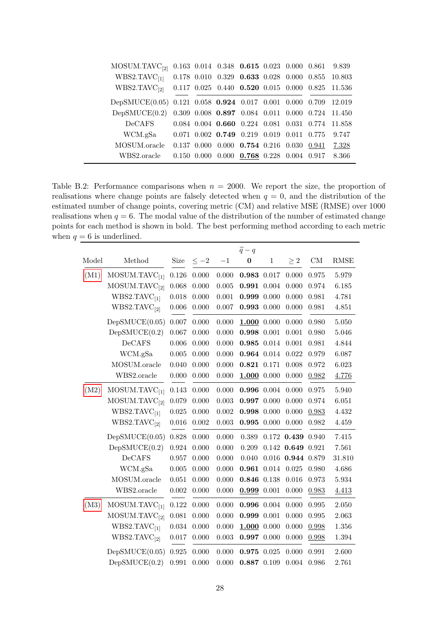| MOSUM.TAVC <sub>[2]</sub> 0.163 0.014 0.348 0.615 0.023 0.000 0.861 9.839                                            |  |                                                         |  |                                                                  |
|----------------------------------------------------------------------------------------------------------------------|--|---------------------------------------------------------|--|------------------------------------------------------------------|
| $\text{WBS2.TAVC}_{[1]} \quad 0.178\;\; 0.010\;\; 0.329\;\; \textbf{0.633}\;\; 0.028\;\; 0.000\;\; 0.855\;\; 10.803$ |  |                                                         |  |                                                                  |
| WBS2.TAVC <sub>[2]</sub> 0.117 0.025 0.440 0.520 0.015 0.000 0.825 11.536                                            |  |                                                         |  |                                                                  |
| DepSMUCE(0.05) 0.121 0.058 0.924 0.017 0.001 0.000 0.709 12.019                                                      |  |                                                         |  |                                                                  |
| DepSMUCE(0.2) 0.309 0.008 0.897 0.084 0.011 0.000 0.724 11.450                                                       |  |                                                         |  |                                                                  |
| DeCAFS                                                                                                               |  |                                                         |  | $0.084$ $0.004$ $0.660$ $0.224$ $0.081$ $0.031$ $0.774$ $11.858$ |
| WCM.gSa  0.071 0.002 0.749 0.219 0.019 0.011 0.775                                                                   |  |                                                         |  | 9.747                                                            |
| MOSUM.oracle                                                                                                         |  | $0.137$ $0.000$ $0.000$ $0.754$ $0.216$ $0.030$ $0.941$ |  | 7.328                                                            |
| WBS2.oracle                                                                                                          |  | $0.150$ $0.000$ $0.000$ $0.768$ $0.228$ $0.004$ $0.917$ |  | 8.366                                                            |

<span id="page-27-0"></span>Table B.2: Performance comparisons when  $n = 2000$ . We report the size, the proportion of realisations where change points are falsely detected when  $q = 0$ , and the distribution of the estimated number of change points, covering metric (CM) and relative MSE (RMSE) over 1000 realisations when  $q = 6$ . The modal value of the distribution of the number of estimated change points for each method is shown in bold. The best performing method according to each metric when  $q = 6$  is underlined.

|       |                           |       |           |       | $\widehat{q}-q$ |              |          |                                                                                             |             |
|-------|---------------------------|-------|-----------|-------|-----------------|--------------|----------|---------------------------------------------------------------------------------------------|-------------|
| Model | Method                    | Size  | $\leq -2$ | $-1$  | $\bf{0}$        | $\mathbf{1}$ | $\geq 2$ | $\mathrm{CM}% _{H}\left( \mathcal{M}\right) \equiv\mathrm{CM}_{H}\left( \mathcal{M}\right)$ | <b>RMSE</b> |
| (M1)  | MOSUM.TAVC <sub>[1]</sub> | 0.126 | 0.000     | 0.000 | 0.983           | 0.017        | 0.000    | 0.975                                                                                       | 5.979       |
|       | MOSUM.TAVC <sub>[2]</sub> | 0.068 | 0.000     | 0.005 | 0.991           | 0.004        | 0.000    | 0.974                                                                                       | 6.185       |
|       | WBS2.TAVC <sub>[1]</sub>  | 0.018 | 0.000     | 0.001 | 0.999           | 0.000        | 0.000    | 0.981                                                                                       | 4.781       |
|       | WBS2.TAVC <sub>[2]</sub>  | 0.006 | 0.000     | 0.007 | 0.993           | 0.000        | 0.000    | 0.981                                                                                       | 4.851       |
|       | DepSMUCE(0.05)            | 0.007 | 0.000     | 0.000 | 1.000 0.000     |              | 0.000    | 0.980                                                                                       | 5.050       |
|       | DepSMUCE(0.2)             | 0.067 | 0.000     | 0.000 | 0.998 0.001     |              | 0.001    | 0.980                                                                                       | 5.046       |
|       | DeCAFS                    | 0.006 | 0.000     | 0.000 | 0.985 0.014     |              | 0.001    | 0.981                                                                                       | 4.844       |
|       | WCM.gSa                   | 0.005 | 0.000     | 0.000 | 0.964 0.014     |              | 0.022    | 0.979                                                                                       | 6.087       |
|       | MOSUM.oracle              | 0.040 | 0.000     | 0.000 | 0.821 0.171     |              | 0.008    | 0.972                                                                                       | 6.023       |
|       | WBS2.oracle               | 0.000 | 0.000     | 0.000 | 1.000 0.000     |              | 0.000    | 0.982                                                                                       | 4.776       |
| (M2)  | MOSUM.TAVC <sub>[1]</sub> | 0.143 | 0.000     | 0.000 | $0.996$ 0.004   |              | 0.000    | 0.975                                                                                       | 5.940       |
|       | MOSUM.TAVC <sub>[2]</sub> | 0.079 | 0.000     | 0.003 | 0.997           | 0.000        | 0.000    | 0.974                                                                                       | 6.051       |
|       | WBS2.TAVC <sub>[1]</sub>  | 0.025 | 0.000     | 0.002 | 0.998 0.000     |              | 0.000    | 0.983                                                                                       | 4.432       |
|       | WBS2.TAVC <sub>[2]</sub>  | 0.016 | 0.002     | 0.003 | $0.995$ 0.000   |              | 0.000    | 0.982                                                                                       | 4.459       |
|       | DepSMUCE(0.05)            | 0.828 | 0.000     | 0.000 | 0.389           | 0.172        | 0.439    | 0.940                                                                                       | 7.415       |
|       | DepSMUCE(0.2)             | 0.924 | 0.000     | 0.000 | 0.209           | 0.142        | 0.649    | 0.921                                                                                       | 7.561       |
|       | DeCAFS                    | 0.957 | 0.000     | 0.000 | 0.040           | 0.016        | 0.944    | 0.879                                                                                       | 31.810      |
|       | WCM.gSa                   | 0.005 | 0.000     | 0.000 | $0.961$ $0.014$ |              | 0.025    | 0.980                                                                                       | 4.686       |
|       | MOSUM.oracle              | 0.051 | 0.000     | 0.000 | 0.846           | 0.138        | 0.016    | 0.973                                                                                       | 5.934       |
|       | WBS2.oracle               | 0.002 | 0.000     | 0.000 | 0.999 0.001     |              | 0.000    | 0.983                                                                                       | 4.413       |
| (M3)  | MOSUM.TAVC <sub>[1]</sub> | 0.122 | 0.000     | 0.000 | 0.996           | 0.004        | 0.000    | 0.995                                                                                       | 2.050       |
|       | MOSUM.TAVC <sub>[2]</sub> | 0.081 | 0.000     | 0.000 | 0.999           | 0.001        | 0.000    | 0.995                                                                                       | 2.063       |
|       | WBS2.TAVC <sub>[1]</sub>  | 0.034 | 0.000     | 0.000 | $1.000$ 0.000   |              | 0.000    | 0.998                                                                                       | 1.356       |
|       | WBS2.TAVC <sub>[2]</sub>  | 0.017 | 0.000     | 0.003 | $0.997$ 0.000   |              | 0.000    | 0.998                                                                                       | 1.394       |
|       | DepSMUCE(0.05)            | 0.925 | 0.000     | 0.000 | 0.975           | 0.025        | 0.000    | 0.991                                                                                       | 2.600       |
|       | DepSMUCE(0.2)             | 0.991 | 0.000     | 0.000 | 0.887 0.109     |              | 0.004    | 0.986                                                                                       | 2.761       |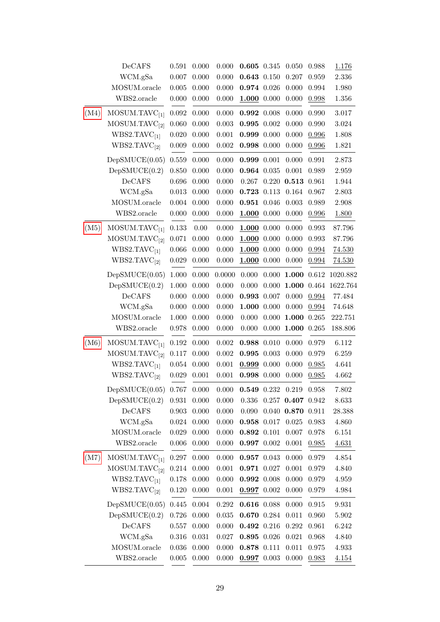|      | DeCAFS                    | 0.591       | 0.000 | 0.000     | 0.605 0.345     |       | 0.050                 | 0.988       | 1.176    |
|------|---------------------------|-------------|-------|-----------|-----------------|-------|-----------------------|-------------|----------|
|      | WCM.gSa                   | $0.007\,$   | 0.000 | 0.000     | $0.643$ $0.150$ |       | 0.207                 | 0.959       | 2.336    |
|      | MOSUM.oracle              | 0.005       | 0.000 | 0.000     | 0.974 0.026     |       | 0.000                 | 0.994       | 1.980    |
|      | WBS2.oracle               | 0.000       | 0.000 | 0.000     | $1.000$ 0.000   |       | 0.000                 | 0.998       | 1.356    |
| (M4) | MOSUM.TAVC <sub>[1]</sub> | 0.092       | 0.000 | 0.000     | 0.992 0.008     |       | 0.000                 | 0.990       | 3.017    |
|      | MOSUM.TAVC <sub>[2]</sub> | 0.060       | 0.000 | 0.003     | $0.995$ 0.002   |       | 0.000                 | 0.990       | 3.024    |
|      | WBS2.TAVC <sub>[1]</sub>  | 0.020       | 0.000 | 0.001     | 0.999 0.000     |       | 0.000                 | 0.996       | 1.808    |
|      | WBS2.TAVC <sub>[2]</sub>  | 0.009       | 0.000 | 0.002     | 0.998 0.000     |       | 0.000                 | 0.996       | 1.821    |
|      | DepSMUCE(0.05)            | 0.559       | 0.000 | 0.000     | 0.999 0.001     |       | 0.000                 | 0.991       | 2.873    |
|      | DepSMUCE(0.2)             | 0.850       | 0.000 | 0.000     | 0.964 0.035     |       | 0.001                 | 0.989       | 2.959    |
|      | DeCAFS                    | 0.696       | 0.000 | 0.000     | 0.267           | 0.220 | 0.513 0.961           |             | 1.944    |
|      | WCM.gSa                   | 0.013       | 0.000 | 0.000     | 0.723 0.113     |       | 0.164                 | 0.967       | 2.803    |
|      | MOSUM.oracle              | 0.004       | 0.000 | 0.000     | 0.951 0.046     |       | 0.003                 | 0.989       | 2.908    |
|      | WBS2.oracle               | 0.000       | 0.000 | 0.000     | $1.000$ 0.000   |       | 0.000                 | 0.996       | 1.800    |
| (M5) | MOSUM.TAVC <sub>[1]</sub> | 0.133       | 0.00  | 0.000     | $1.000$ 0.000   |       | 0.000                 | 0.993       | 87.796   |
|      | MOSUM.TAVC <sub>[2]</sub> | 0.071       | 0.000 | 0.000     | 1.000 0.000     |       | 0.000                 | 0.993       | 87.796   |
|      | WBS2.TAVC <sub>[1]</sub>  | 0.066       | 0.000 | 0.000     | $1.000$ 0.000   |       | 0.000                 | 0.994       | 74.530   |
|      | WBS2.TAVC <sub>[2]</sub>  | 0.029       | 0.000 | 0.000     | $1.000$ 0.000   |       | 0.000                 | 0.994       | 74.530   |
|      | DepSMUCE(0.05)            | 1.000       | 0.000 | 0.0000    | 0.000           | 0.000 | 1.000 0.612           |             | 1020.882 |
|      | DepSMUCE(0.2)             | 1.000       | 0.000 | 0.000     | 0.000           | 0.000 | 1.000                 | 0.464       | 1622.764 |
|      | DeCAFS                    | 0.000       | 0.000 | 0.000     | 0.993 0.007     |       | 0.000                 | 0.994       | 77.484   |
|      | WCM.gSa                   | 0.000       | 0.000 | 0.000     | 1.000 0.000     |       | 0.000                 | 0.994       | 74.648   |
|      | MOSUM.oracle              | 1.000       | 0.000 | 0.000     | 0.000           | 0.000 | 1.000 0.265           |             | 222.751  |
|      | WBS2.oracle               | 0.978       | 0.000 | 0.000     | 0.000           | 0.000 | $1.000$ 0.265         |             | 188.806  |
| (M6) | MOSUM.TAVC <sub>[1]</sub> | 0.192       | 0.000 | 0.002     | 0.988 0.010     |       | 0.000                 | 0.979       | 6.112    |
|      | MOSUM.TAVC <sub>[2]</sub> | 0.117       | 0.000 | 0.002     | 0.995 0.003     |       | 0.000                 | 0.979       | 6.259    |
|      | WBS2.TAVC <sub>[1]</sub>  | 0.054       | 0.000 | 0.001     | 0.999 0.000     |       | 0.000                 | 0.985       | 4.641    |
|      | WBS2.TAVC <sub>[2]</sub>  | 0.029       | 0.001 | 0.001     | 0.998 0.000     |       | 0.000                 | 0.985       | 4.662    |
|      | DepSMUCE(0.05)            | 0.767       | 0.000 | 0.000     | 0.549 0.232     |       | 0.219                 | 0.958       | 7.802    |
|      | DepSMUCE(0.2)             | 0.931       | 0.000 | 0.000     | 0.336           |       | $0.257$ 0.407 $0.942$ |             | 8.633    |
|      | DeCAFS                    | $\,0.903\,$ | 0.000 | 0.000     | 0.090           |       | 0.040 0.870 0.911     |             | 28.388   |
|      | WCM.gSa                   | 0.024       | 0.000 | 0.000     | 0.958 0.017     |       | 0.025                 | 0.983       | 4.860    |
|      | MOSUM.oracle              | 0.029       | 0.000 | 0.000     | 0.892 0.101     |       | 0.007                 | 0.978       | 6.151    |
|      | $\it WBS2.$ oracle        | 0.006       | 0.000 | 0.000     | $0.997$ 0.002   |       | 0.001                 | 0.985       | 4.631    |
| (M7) | MOSUM.TAVC <sub>[1]</sub> | 0.297       | 0.000 | 0.000     | $0.957$ 0.043   |       | 0.000                 | 0.979       | 4.854    |
|      | MOSUM.TAVC <sub>[2]</sub> | $0.214\,$   | 0.000 | $0.001\,$ | 0.971 0.027     |       | 0.001                 | 0.979       | 4.840    |
|      | WBS2.TAVC <sub>[1]</sub>  | 0.178       | 0.000 | 0.000     | $0.992\ 0.008$  |       | 0.000                 | 0.979       | 4.959    |
|      | WBS2.TAVC <sub>[2]</sub>  | 0.120       | 0.000 | $0.001\,$ | $0.997$ 0.002   |       | 0.000                 | 0.979       | 4.984    |
|      | DepSMUCE(0.05)            | 0.445       | 0.004 | 0.292     | 0.616 0.088     |       | 0.000                 | $\,0.915\,$ | 9.931    |
|      | DepSMUCE(0.2)             | 0.726       | 0.000 | 0.035     | 0.670 0.284     |       | 0.011                 | 0.960       | 5.902    |
|      | DeCAFS                    | 0.557       | 0.000 | 0.000     | 0.492 0.216     |       | 0.292                 | 0.961       | 6.242    |
|      | WCM.gSa                   | 0.316       | 0.031 | 0.027     | 0.895 0.026     |       | 0.021                 | 0.968       | 4.840    |
|      | MOSUM.oracle              | 0.036       | 0.000 | 0.000     | 0.878 0.111     |       | 0.011                 | 0.975       | 4.933    |
|      | WBS2.oracle               | 0.005       | 0.000 | 0.000     | $0.997$ 0.003   |       | 0.000                 | 0.983       | 4.154    |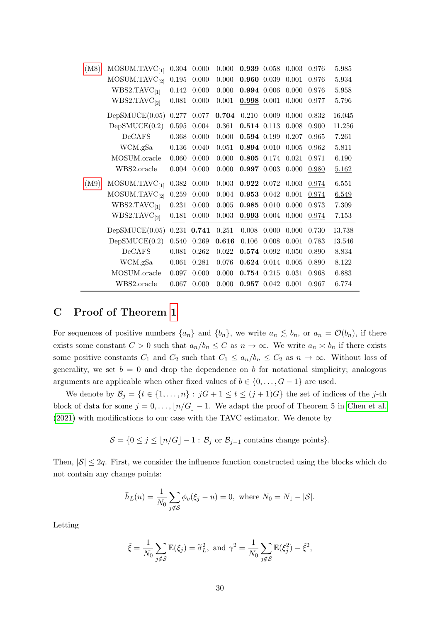| (M8) | MOSUM.TAVC <sub>[1]</sub> | 0.304 | 0.000 | 0.000       | 0.939         | 0.058 | 0.003 | 0.976 | 5.985  |
|------|---------------------------|-------|-------|-------------|---------------|-------|-------|-------|--------|
|      | MOSUM.TAVC <sub>[2]</sub> | 0.195 | 0.000 | 0.000       | 0.960         | 0.039 | 0.001 | 0.976 | 5.934  |
|      | WBS2.TAVC <sub>[1]</sub>  | 0.142 | 0.000 | 0.000       | 0.994         | 0.006 | 0.000 | 0.976 | 5.958  |
|      | WBS2.TAVC <sub>[2]</sub>  | 0.081 | 0.000 | 0.001       | 0.998 0.001   |       | 0.000 | 0.977 | 5.796  |
|      | DepSMUCE(0.05)            | 0.277 | 0.077 | 0.704       | 0.210         | 0.009 | 0.000 | 0.832 | 16.045 |
|      | DepSMUCE(0.2)             | 0.595 | 0.004 | 0.361       | 0.514 0.113   |       | 0.008 | 0.900 | 11.256 |
|      | DeCAFS                    | 0.368 | 0.000 | 0.000       | 0.594 0.199   |       | 0.207 | 0.965 | 7.261  |
|      | WCM.gSa                   | 0.136 | 0.040 | 0.051       | 0.894 0.010   |       | 0.005 | 0.962 | 5.811  |
|      | MOSUM.oracle              | 0.060 | 0.000 | 0.000       | 0.805 0.174   |       | 0.021 | 0.971 | 6.190  |
|      | WBS2.oracle               | 0.004 | 0.000 | 0.000       | $0.997$ 0.003 |       | 0.000 | 0.980 | 5.162  |
| (M9) | MOSUM.TAVC <sub>[1]</sub> | 0.382 | 0.000 | $\,0.003\,$ | 0.922 0.072   |       | 0.003 | 0.974 | 6.551  |
|      | MOSUM.TAVC <sub>[2]</sub> | 0.259 | 0.000 | $0.004\,$   | 0.953 0.042   |       | 0.001 | 0.974 | 6.549  |
|      | WBS2.TAVC <sub>[1]</sub>  | 0.231 | 0.000 | 0.005       | 0.985         | 0.010 | 0.000 | 0.973 | 7.309  |
|      | WBS2.TAVC <sub>[2]</sub>  | 0.181 | 0.000 | 0.003       | 0.993         | 0.004 | 0.000 | 0.974 | 7.153  |
|      | DepSMUCE(0.05)            | 0.231 | 0.741 | 0.251       | 0.008         | 0.000 | 0.000 | 0.730 | 13.738 |
|      | DepSMUCE(0.2)             | 0.540 | 0.269 | 0.616       | 0.106         | 0.008 | 0.001 | 0.783 | 13.546 |
|      | DeCAFS                    | 0.081 | 0.262 | $\,0.022\,$ | 0.574 0.092   |       | 0.050 | 0.890 | 8.834  |
|      | WCM.gSa                   | 0.061 | 0.281 | 0.076       | 0.624 0.014   |       | 0.005 | 0.890 | 8.122  |
|      | MOSUM.oracle              | 0.097 | 0.000 | 0.000       | 0.754 0.215   |       | 0.031 | 0.968 | 6.883  |
|      | WBS2.oracle               | 0.067 | 0.000 | 0.000       | 0.957 0.042   |       | 0.001 | 0.967 | 6.774  |
|      |                           |       |       |             |               |       |       |       |        |

# <span id="page-29-0"></span>C Proof of Theorem [1](#page-4-1)

For sequences of positive numbers  $\{a_n\}$  and  $\{b_n\}$ , we write  $a_n \lesssim b_n$ , or  $a_n = \mathcal{O}(b_n)$ , if there exists some constant  $C > 0$  such that  $a_n/b_n \leq C$  as  $n \to \infty$ . We write  $a_n \approx b_n$  if there exists some positive constants  $C_1$  and  $C_2$  such that  $C_1 \le a_n/b_n \le C_2$  as  $n \to \infty$ . Without loss of generality, we set  $b = 0$  and drop the dependence on b for notational simplicity; analogous arguments are applicable when other fixed values of  $b \in \{0, \ldots, G-1\}$  are used.

We denote by  $\mathcal{B}_j = \{t \in \{1, ..., n\} : jG + 1 \le t \le (j + 1)G\}$  the set of indices of the j-th block of data for some  $j = 0, \ldots, \lfloor n/G \rfloor - 1$ . We adapt the proof of Theorem 5 in [Chen et al.](#page-20-11) [\(2021\)](#page-20-11) with modifications to our case with the TAVC estimator. We denote by

 $\mathcal{S} = \{0 \leq j \leq |n/G| - 1 : \mathcal{B}_j \text{ or } \mathcal{B}_{j-1} \text{ contains change points}\}.$ 

Then,  $|\mathcal{S}| \leq 2q$ . First, we consider the influence function constructed using the blocks which do not contain any change points:

$$
\bar{h}_L(u) = \frac{1}{N_0} \sum_{j \notin S} \phi_v(\xi_j - u) = 0
$$
, where  $N_0 = N_1 - |S|$ .

Letting

$$
\tilde{\xi} = \frac{1}{N_0} \sum_{j \notin S} \mathbb{E}(\xi_j) = \tilde{\sigma}_L^2
$$
, and  $\gamma^2 = \frac{1}{N_0} \sum_{j \notin S} \mathbb{E}(\xi_j^2) - \tilde{\xi}^2$ ,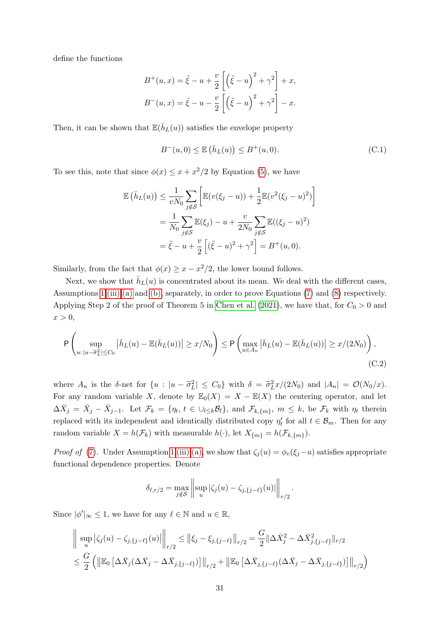define the functions

$$
B^+(u,x) = \tilde{\xi} - u + \frac{v}{2} \left[ \left( \tilde{\xi} - u \right)^2 + \gamma^2 \right] + x,
$$
  

$$
B^-(u,x) = \tilde{\xi} - u - \frac{v}{2} \left[ \left( \tilde{\xi} - u \right)^2 + \gamma^2 \right] - x.
$$

Then, it can be shown that  $\mathbb{E}(\bar{h}_L(u))$  satisfies the envelope property

<span id="page-30-1"></span>
$$
B^{-}(u,0) \le \mathbb{E}\left(\bar{h}_{L}(u)\right) \le B^{+}(u,0). \tag{C.1}
$$

To see this, note that since  $\phi(x) \leq x + x^2/2$  by Equation [\(5\)](#page-4-8), we have

$$
\mathbb{E}(\bar{h}_L(u)) \leq \frac{1}{vN_0} \sum_{j \notin \mathcal{S}} \left[ \mathbb{E}(v(\xi_j - u)) + \frac{1}{2} \mathbb{E}(v^2(\xi_j - u)^2) \right]
$$
  
= 
$$
\frac{1}{N_0} \sum_{j \notin \mathcal{S}} \mathbb{E}(\xi_j) - u + \frac{v}{2N_0} \sum_{j \notin \mathcal{S}} \mathbb{E}((\xi_j - u)^2)
$$
  
= 
$$
\tilde{\xi} - u + \frac{v}{2} \left[ (\tilde{\xi} - u)^2 + \gamma^2 \right] = B^+(u, 0).
$$

Similarly, from the fact that  $\phi(x) \geq x - x^2/2$ , the lower bound follows.

Next, we show that  $\bar{h}_L(u)$  is concentrated about its mean. We deal with the different cases, Assumptions [1](#page-4-0) [\(iii\)](#page-4-5) [\(a\)](#page-4-6) and [\(b\),](#page-4-7) separately, in order to prove Equations [\(7\)](#page-5-2) and [\(8\)](#page-5-3) respectively. Applying Step 2 of the proof of Theorem 5 in [Chen et al.](#page-20-11) [\(2021\)](#page-20-11), we have that, for  $C_0 > 0$  and  $x > 0$ ,

$$
\mathsf{P}\left(\sup_{u:\,|u-\tilde{\sigma}_L^2|\leq C_0} \left|\bar{h}_L(u)-\mathbb{E}(\bar{h}_L(u))\right|\geq x/N_0\right)\leq \mathsf{P}\left(\max_{u\in A_n} \left|\bar{h}_L(u)-\mathbb{E}(\bar{h}_L(u))\right|\geq x/(2N_0)\right),\tag{C.2}
$$

where  $A_n$  is the δ-net for  $\{u : |u - \tilde{\sigma}_L^2| \leq C_0\}$  with  $\delta = \tilde{\sigma}_L^2 x/(2N_0)$  and  $|A_n| = \mathcal{O}(N_0/x)$ . For any random variable X, denote by  $\mathbb{E}_0(X) = X - \mathbb{E}(X)$  the centering operator, and let  $\Delta \bar{X}_j = \bar{X}_j - \bar{X}_{j-1}$ . Let  $\mathcal{F}_k = \{\eta_t, t \in \bigcup_{l \leq k} B_l\}$ , and  $\mathcal{F}_{k,\{m\}}$ ,  $m \leq k$ , be  $\mathcal{F}_k$  with  $\eta_t$  therein replaced with its independent and identically distributed copy  $\eta'_t$  for all  $t \in \mathcal{B}_m$ . Then for any random variable  $X = h(\mathcal{F}_k)$  with measurable  $h(\cdot)$ , let  $X_{\{m\}} = h(\mathcal{F}_{k,\{m\}})$ .

*Proof of* [\(7\)](#page-5-2). Under Assumption [1](#page-4-0) [\(iii\)](#page-4-5) [\(a\),](#page-4-6) we show that  $\zeta_i(u) = \phi_i(\xi_i-u)$  satisfies appropriate functional dependence properties. Denote

<span id="page-30-0"></span>
$$
\delta_{\ell,r/2} = \max_{j \notin \mathcal{S}} \left\| \sup_{u} |\zeta_j(u) - \zeta_{j,\{j-\ell\}}(u)| \right\|_{r/2}.
$$

Since  $|\phi'|_{\infty} \leq 1$ , we have for any  $\ell \in \mathbb{N}$  and  $u \in \mathbb{R}$ ,

$$
\|\sup_{u} |\zeta_{j}(u) - \zeta_{j,\{j-\ell\}}(u)|\|_{r/2} \leq \|\xi_{j} - \xi_{j,\{j-\ell\}}\|_{r/2} = \frac{G}{2} \|\Delta \bar{X}_{j}^{2} - \Delta \bar{X}_{j,\{j-\ell\}}^{2}\|_{r/2}
$$
  

$$
\leq \frac{G}{2} \left( \|\mathbb{E}_{0} \left[ \Delta \bar{X}_{j} (\Delta \bar{X}_{j} - \Delta \bar{X}_{j,\{j-\ell\}}) \right] \|_{r/2} + \|\mathbb{E}_{0} \left[ \Delta \bar{X}_{j,\{j-\ell\}} (\Delta \bar{X}_{j} - \Delta \bar{X}_{j,\{j-\ell\}}) \right] \|_{r/2} \right)
$$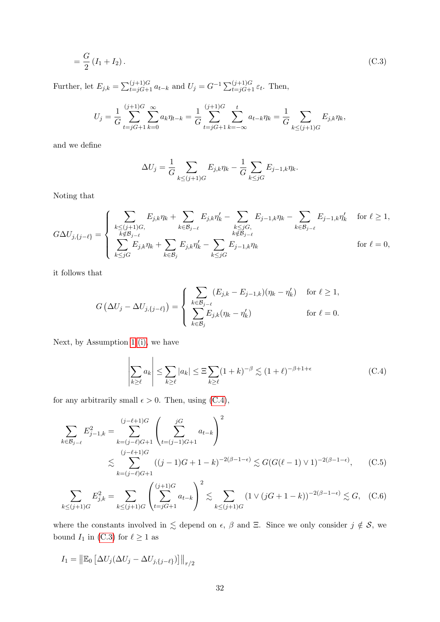$$
=\frac{G}{2}(I_1 + I_2). \t\t(C.3)
$$

Further, let  $E_{j,k} = \sum_{t=jG+1}^{(j+1)G} a_{t-k}$  and  $U_j = G^{-1} \sum_{t=jG+1}^{(j+1)G} \varepsilon_t$ . Then,

$$
U_j = \frac{1}{G} \sum_{t=jG+1}^{(j+1)G} \sum_{k=0}^{\infty} a_k \eta_{t-k} = \frac{1}{G} \sum_{t=jG+1}^{(j+1)G} \sum_{k=-\infty}^{t} a_{t-k} \eta_k = \frac{1}{G} \sum_{k \le (j+1)G} E_{j,k} \eta_k,
$$

and we define

<span id="page-31-1"></span>
$$
\Delta U_j = \frac{1}{G} \sum_{k \le (j+1)G} E_{j,k} \eta_k - \frac{1}{G} \sum_{k \le jG} E_{j-1,k} \eta_k.
$$

Noting that

$$
G\Delta U_{j,\{j-\ell\}} = \begin{cases} \sum_{\substack{k \leq (j+1)G, \\ k \notin \mathcal{B}_{j-\ell}}} E_{j,k}\eta_k + \sum_{k \in \mathcal{B}_{j-\ell}} E_{j,k}\eta_k' - \sum_{\substack{k \leq jG, \\ k \notin \mathcal{B}_{j-\ell}}} E_{j-1,k}\eta_k - \sum_{k \in \mathcal{B}_{j-\ell}} E_{j-1,k}\eta_k' & \text{for } \ell \geq 1, \\ \sum_{k \leq jG} E_{j,k}\eta_k + \sum_{k \in \mathcal{B}_j} E_{j,k}\eta_k' - \sum_{k \leq jG} E_{j-1,k}\eta_k & \text{for } \ell = 0, \end{cases}
$$

it follows that

$$
G\left(\Delta U_j - \Delta U_{j,\{j-\ell\}}\right) = \begin{cases} \sum_{k \in \mathcal{B}_{j-\ell}} (E_{j,k} - E_{j-1,k})(\eta_k - \eta'_k) & \text{for } \ell \ge 1, \\ \sum_{k \in \mathcal{B}_j} E_{j,k}(\eta_k - \eta'_k) & \text{for } \ell = 0. \end{cases}
$$

Next, by Assumption [1](#page-4-0) [\(i\),](#page-4-3) we have

<span id="page-31-3"></span><span id="page-31-2"></span><span id="page-31-0"></span>
$$
\left| \sum_{k \ge \ell} a_k \right| \le \sum_{k \ge \ell} |a_k| \le \Xi \sum_{k \ge \ell} (1+k)^{-\beta} \lesssim (1+\ell)^{-\beta+1+\epsilon} \tag{C.4}
$$

for any arbitrarily small  $\epsilon > 0$ . Then, using [\(C.4\)](#page-31-0),

$$
\sum_{k \in \mathcal{B}_{j-\ell}} E_{j-1,k}^2 = \sum_{k=(j-\ell)G+1}^{(j-\ell+1)G} \left( \sum_{t=(j-1)G+1}^{jG} a_{t-k} \right)^2
$$
\n
$$
\lesssim \sum_{k=(j-\ell)G+1}^{(j-\ell+1)G} ((j-1)G+1-k)^{-2(\beta-1-\epsilon)} \lesssim G(G(\ell-1) \vee 1)^{-2(\beta-1-\epsilon)}, \quad (C.5)
$$

$$
\sum_{k \le (j+1)G} E_{j,k}^2 = \sum_{k \le (j+1)G} \left( \sum_{t=jG+1}^{(j+1)G} a_{t-k} \right)^2 \lesssim \sum_{k \le (j+1)G} (1 \vee (jG+1-k))^{-2(\beta-1-\epsilon)} \lesssim G, \quad \text{(C.6)}
$$

where the constants involved in  $\leq$  depend on  $\epsilon$ ,  $\beta$  and  $\Xi$ . Since we only consider  $j \notin \mathcal{S}$ , we bound  $I_1$  in [\(C.3\)](#page-31-1) for  $\ell \ge 1$  as

$$
I_1 = \left\|\mathbb{E}_0 \left[\Delta U_j(\Delta U_j - \Delta U_{j,\{j-\ell\}})\right]\right\|_{r/2}
$$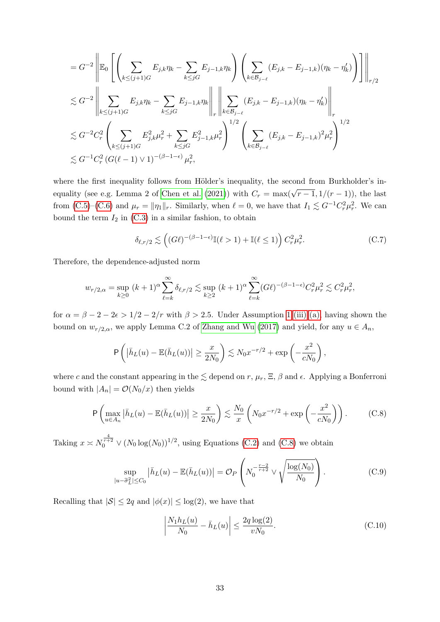$$
= G^{-2} \left\| \mathbb{E}_{0} \left[ \left( \sum_{k \leq (j+1)G} E_{j,k} \eta_{k} - \sum_{k \leq jG} E_{j-1,k} \eta_{k} \right) \left( \sum_{k \in \mathcal{B}_{j-\ell}} (E_{j,k} - E_{j-1,k}) (\eta_{k} - \eta'_{k}) \right) \right] \right\|_{r/2}
$$
  

$$
\lesssim G^{-2} \left\| \sum_{k \leq (j+1)G} E_{j,k} \eta_{k} - \sum_{k \leq jG} E_{j-1,k} \eta_{k} \right\|_{r} \left\| \sum_{k \in \mathcal{B}_{j-\ell}} (E_{j,k} - E_{j-1,k}) (\eta_{k} - \eta'_{k}) \right\|_{r}
$$
  

$$
\lesssim G^{-2} C_{r}^{2} \left( \sum_{k \leq (j+1)G} E_{j,k}^{2} \mu_{r}^{2} + \sum_{k \leq jG} E_{j-1,k}^{2} \mu_{r}^{2} \right)^{1/2} \left( \sum_{k \in \mathcal{B}_{j-\ell}} (E_{j,k} - E_{j-1,k})^{2} \mu_{r}^{2} \right)^{1/2}
$$
  

$$
\lesssim G^{-1} C_{r}^{2} \left( G(\ell - 1) \vee 1)^{-(\beta - 1 - \epsilon)} \mu_{r}^{2},
$$

where the first inequality follows from Hölder's inequality, the second from Burkholder's in-equality (see e.g. Lemma 2 of [Chen et al.](#page-20-11) [\(2021\)](#page-20-11)) with  $C_r = \max(\sqrt{r-1}, 1/(r-1))$ , the last from [\(C.5\)](#page-31-2)–[\(C.6\)](#page-31-3) and  $\mu_r = ||\eta_1||_r$ . Similarly, when  $\ell = 0$ , we have that  $I_1 \lesssim G^{-1}C_r^2\mu_r^2$ . We can bound the term  $I_2$  in [\(C.3\)](#page-31-1) in a similar fashion, to obtain

<span id="page-32-3"></span>
$$
\delta_{\ell,r/2} \lesssim \left( (G\ell)^{-(\beta-1-\epsilon)} \mathbb{I}(\ell > 1) + \mathbb{I}(\ell \le 1) \right) C_r^2 \mu_r^2. \tag{C.7}
$$

Therefore, the dependence-adjusted norm

$$
w_{r/2,\alpha} = \sup_{k \ge 0} (k+1)^{\alpha} \sum_{\ell=k}^{\infty} \delta_{\ell,r/2} \lesssim \sup_{k \ge 2} (k+1)^{\alpha} \sum_{\ell=k}^{\infty} (G\ell)^{-(\beta-1-\epsilon)} C_r^2 \mu_r^2 \lesssim C_r^2 \mu_r^2,
$$

for  $\alpha = \beta - 2 - 2\epsilon > 1/2 - 2/r$  $\alpha = \beta - 2 - 2\epsilon > 1/2 - 2/r$  $\alpha = \beta - 2 - 2\epsilon > 1/2 - 2/r$  with  $\beta > 2.5$ . Under Assumption 1 [\(iii\)](#page-4-5) [\(a\),](#page-4-6) having shown the bound on  $w_{r/2,\alpha}$ , we apply Lemma C.2 of [Zhang and Wu](#page-22-8) [\(2017\)](#page-22-8) and yield, for any  $u \in A_n$ ,

$$
\mathsf{P}\left(\left|\bar{h}_L(u) - \mathbb{E}(\bar{h}_L(u))\right| \geq \frac{x}{2N_0}\right) \lesssim N_0 x^{-r/2} + \exp\left(-\frac{x^2}{cN_0}\right),
$$

where c and the constant appearing in the  $\lesssim$  depend on r,  $\mu_r$ ,  $\Xi$ ,  $\beta$  and  $\epsilon$ . Applying a Bonferroni bound with  $|A_n| = \mathcal{O}(N_0/x)$  then yields

$$
\mathsf{P}\left(\max_{u\in A_n} \left|\bar{h}_L(u) - \mathbb{E}(\bar{h}_L(u))\right| \ge \frac{x}{2N_0}\right) \lesssim \frac{N_0}{x} \left(N_0 x^{-r/2} + \exp\left(-\frac{x^2}{cN_0}\right)\right). \tag{C.8}
$$

Taking  $x \n\t\approx N_0^{\frac{4}{r+2}} \vee (N_0 \log(N_0))^{1/2}$ , using Equations [\(C.2\)](#page-30-0) and [\(C.8\)](#page-32-0) we obtain

$$
\sup_{|u-\tilde{\sigma}_L^2| \le C_0} \left| \bar{h}_L(u) - \mathbb{E}(\bar{h}_L(u)) \right| = \mathcal{O}_P\left(N_0^{-\frac{r-2}{r+2}} \vee \sqrt{\frac{\log(N_0)}{N_0}}\right).
$$
 (C.9)

Recalling that  $|\mathcal{S}| \leq 2q$  and  $|\phi(x)| \leq \log(2)$ , we have that

<span id="page-32-2"></span><span id="page-32-1"></span><span id="page-32-0"></span>
$$
\left| \frac{N_1 h_L(u)}{N_0} - \bar{h}_L(u) \right| \le \frac{2q \log(2)}{v N_0}.
$$
 (C.10)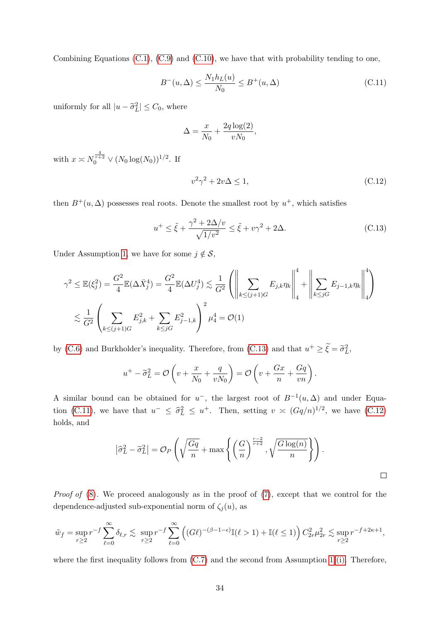Combining Equations  $(C.1)$ ,  $(C.9)$  and  $(C.10)$ , we have that with probability tending to one,

$$
B^{-}(u,\Delta) \le \frac{N_1 h_L(u)}{N_0} \le B^{+}(u,\Delta)
$$
\n(C.11)

uniformly for all  $|u - \tilde{\sigma}_L^2| \leq C_0$ , where

<span id="page-33-1"></span>
$$
\Delta = \frac{x}{N_0} + \frac{2q \log(2)}{vN_0},
$$

with  $x \asymp N_0^{\frac{4}{r+2}} \vee (N_0 \log(N_0))^{1/2}$ . If

<span id="page-33-2"></span><span id="page-33-0"></span>
$$
v^2\gamma^2 + 2v\Delta \le 1,\tag{C.12}
$$

then  $B^+(u, \Delta)$  possesses real roots. Denote the smallest root by  $u^+$ , which satisfies

$$
u^{+} \leq \tilde{\xi} + \frac{\gamma^{2} + 2\Delta/v}{\sqrt{1/v^{2}}} \leq \tilde{\xi} + v\gamma^{2} + 2\Delta.
$$
 (C.13)

Under Assumption [1,](#page-4-0) we have for some  $j \notin \mathcal{S}$ ,

$$
\gamma^2 \le \mathbb{E}(\xi_j^2) = \frac{G^2}{4} \mathbb{E}(\Delta \bar{X}_j^4) = \frac{G^2}{4} \mathbb{E}(\Delta U_j^4) \lesssim \frac{1}{G^2} \left( \left\| \sum_{k \le (j+1)G} E_{j,k} \eta_k \right\|_4^4 + \left\| \sum_{k \le jG} E_{j-1,k} \eta_k \right\|_4^4 \right)
$$
  

$$
\lesssim \frac{1}{G^2} \left( \sum_{k \le (j+1)G} E_{j,k}^2 + \sum_{k \le jG} E_{j-1,k}^2 \right)^2 \mu_4^4 = \mathcal{O}(1)
$$

by [\(C.6\)](#page-31-3) and Burkholder's inequality. Therefore, from [\(C.13\)](#page-33-0) and that  $u^+ \geq \tilde{\xi} = \tilde{\sigma}_L^2$ ,

$$
u^{+} - \widetilde{\sigma}_{L}^{2} = \mathcal{O}\left(v + \frac{x}{N_{0}} + \frac{q}{vN_{0}}\right) = \mathcal{O}\left(v + \frac{Gx}{n} + \frac{Gq}{vn}\right).
$$

A similar bound can be obtained for  $u^-$ , the largest root of  $B^{-1}(u,\Delta)$  and under Equa-tion [\(C.11\)](#page-33-1), we have that  $u^- \leq \hat{\sigma}_L^2 \leq u^+$ . Then, setting  $v \approx (Gq/n)^{1/2}$ , we have [\(C.12\)](#page-33-2) holds, and

$$
\left|\widehat{\sigma}_L^2 - \widetilde{\sigma}_L^2\right| = \mathcal{O}_P\left(\sqrt{\frac{Gq}{n}} + \max\left\{\left(\frac{G}{n}\right)^{\frac{r-2}{r+2}}, \sqrt{\frac{G\log(n)}{n}}\right\}\right).
$$

Proof of  $(8)$ . We proceed analogously as in the proof of  $(7)$ , except that we control for the dependence-adjusted sub-exponential norm of  $\zeta_j(u)$ , as

$$
\tilde{w}_f = \sup_{r \ge 2} r^{-f} \sum_{\ell=0}^{\infty} \delta_{\ell,r} \lesssim \sup_{r \ge 2} r^{-f} \sum_{\ell=0}^{\infty} \left( (G\ell)^{-(\beta - 1 - \epsilon)} \mathbb{I}(\ell > 1) + \mathbb{I}(\ell \le 1) \right) C_{2r}^2 \mu_{2r}^2 \lesssim \sup_{r \ge 2} r^{-f + 2\kappa + 1},
$$

where the first inequality follows from  $(C.7)$  and the second from Assumption [1](#page-4-0) [\(i\).](#page-4-3) Therefore,